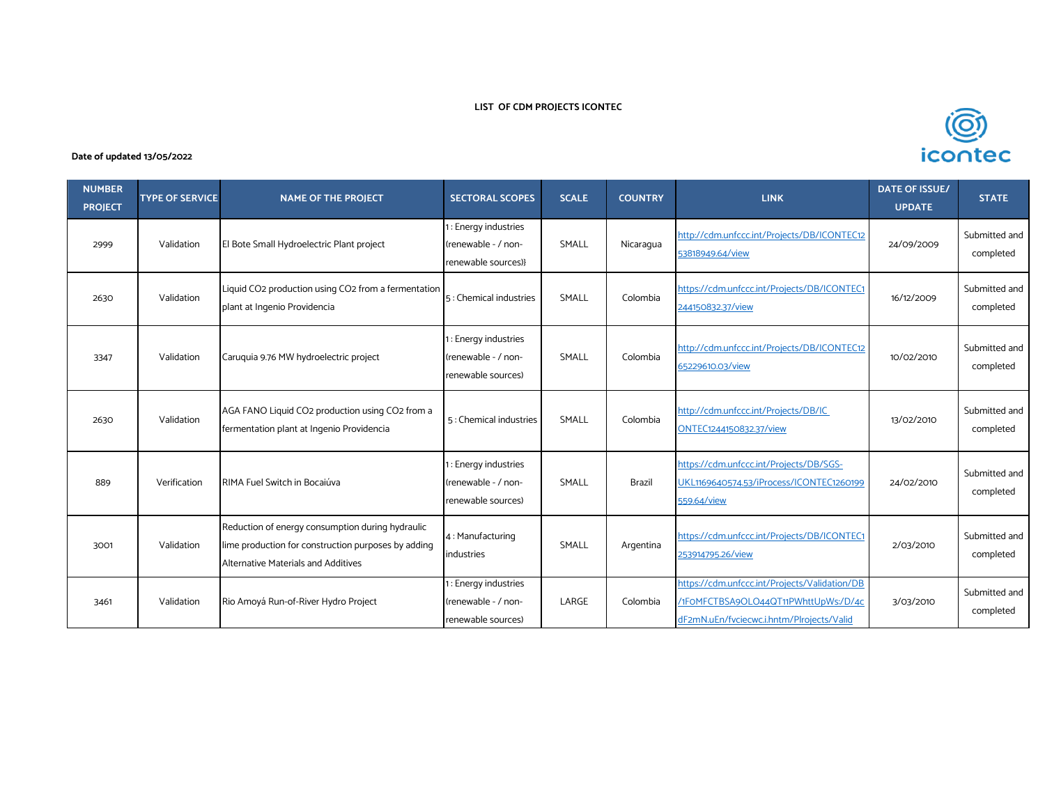## **LIST OF CDM PROJECTS ICONTEC**

## **Date of updated 13/05/2022**

| <b>NUMBER</b><br><b>PROJECT</b> | <b>TYPE OF SERVICE</b> | <b>NAME OF THE PROJECT</b>                                                                                                                     | <b>SECTORAL SCOPES</b>                                            | <b>SCALE</b> | <b>COUNTRY</b> | <b>LINK</b>                                                                                                                        | <b>DATE OF ISSUE/</b><br><b>UPDATE</b> | <b>STATE</b>               |
|---------------------------------|------------------------|------------------------------------------------------------------------------------------------------------------------------------------------|-------------------------------------------------------------------|--------------|----------------|------------------------------------------------------------------------------------------------------------------------------------|----------------------------------------|----------------------------|
| 2999                            | Validation             | El Bote Small Hydroelectric Plant project                                                                                                      | : Energy industries<br>(renewable - / non-<br>renewable sources)} | SMALL        | Nicaragua      | http://cdm.unfccc.int/Projects/DB/ICONTEC12<br>53818949.64/view                                                                    | 24/09/2009                             | Submitted and<br>completed |
| 2630                            | Validation             | Liquid CO2 production using CO2 from a fermentation<br>plant at Ingenio Providencia                                                            | 5: Chemical industries                                            | SMALL        | Colombia       | https://cdm.unfccc.int/Projects/DB/ICONTEC1<br>244150832.37/view                                                                   | 16/12/2009                             | Submitted and<br>completed |
| 3347                            | Validation             | Caruquia 9.76 MW hydroelectric project                                                                                                         | : Energy industries<br>(renewable - / non-<br>renewable sources)  | SMALL        | Colombia       | http://cdm.unfccc.int/Projects/DB/ICONTEC12<br>65229610.03/view                                                                    | 10/02/2010                             | Submitted and<br>completed |
| 2630                            | Validation             | AGA FANO Liquid CO2 production using CO2 from a<br>fermentation plant at Ingenio Providencia                                                   | 5: Chemical industries                                            | SMALL        | Colombia       | http://cdm.unfccc.int/Projects/DB/IC<br>ONTEC1244150832.37/view                                                                    | 13/02/2010                             | Submitted and<br>completed |
| 889                             | Verification           | RIMA Fuel Switch in Bocaiúva                                                                                                                   | : Energy industries<br>(renewable - / non-<br>renewable sources)  | SMALL        | Brazil         | https://cdm.unfccc.int/Projects/DB/SGS-<br>UKL1169640574.53/iProcess/ICONTEC1260199<br>559.64/view                                 | 24/02/2010                             | Submitted and<br>completed |
| 3001                            | Validation             | Reduction of energy consumption during hydraulic<br>lime production for construction purposes by adding<br>Alternative Materials and Additives | 4: Manufacturing<br>industries                                    | SMALL        | Argentina      | https://cdm.unfccc.int/Projects/DB/ICONTEC1<br>253914795.26/view                                                                   | 2/03/2010                              | Submitted and<br>completed |
| 3461                            | Validation             | Rio Amoyá Run-of-River Hydro Project                                                                                                           | : Energy industries<br>(renewable - / non-<br>renewable sources)  | LARGE        | Colombia       | https://cdm.unfccc.int/Projects/Validation/DB<br>/1FOMFCTBSA9OLO44QT11PWhttUpWs:/D/4c<br>dF2mN.uEn/fvciecwc.i.hntm/Plrojects/Valid | 3/03/2010                              | Submitted and<br>completed |

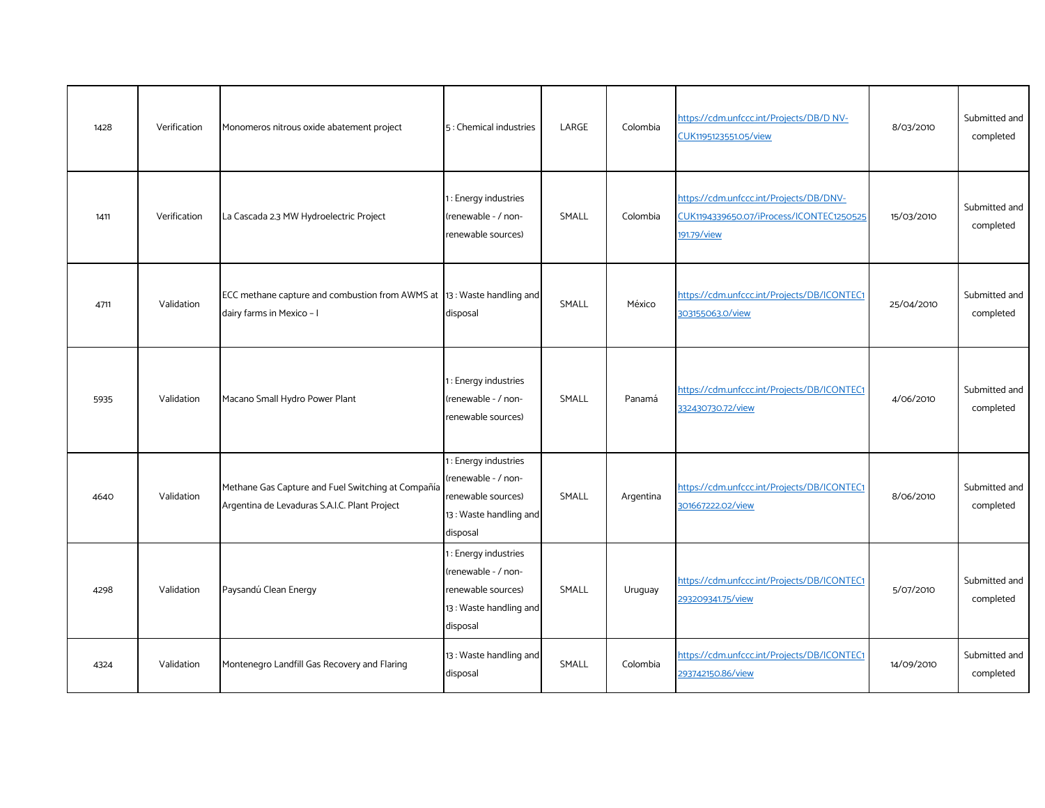| 1428 | Verification | Monomeros nitrous oxide abatement project                                                           | 5: Chemical industries                                                                                   | LARGE | Colombia  | https://cdm.unfccc.int/Projects/DB/D NV-<br>CUK1195123551.05/view                                  | 8/03/2010  | Submitted and<br>completed |
|------|--------------|-----------------------------------------------------------------------------------------------------|----------------------------------------------------------------------------------------------------------|-------|-----------|----------------------------------------------------------------------------------------------------|------------|----------------------------|
| 1411 | Verification | La Cascada 2.3 MW Hydroelectric Project                                                             | 1: Energy industries<br>(renewable - / non-<br>renewable sources)                                        | SMALL | Colombia  | https://cdm.unfccc.int/Projects/DB/DNV-<br>CUK1194339650.07/iProcess/ICONTEC1250525<br>191.79/view | 15/03/2010 | Submitted and<br>completed |
| 4711 | Validation   | ECC methane capture and combustion from AWMS at 13: Waste handling and<br>dairy farms in Mexico - I | disposal                                                                                                 | SMALL | México    | https://cdm.unfccc.int/Projects/DB/ICONTEC1<br>303155063.0/view                                    | 25/04/2010 | Submitted and<br>completed |
| 5935 | Validation   | Macano Small Hydro Power Plant                                                                      | 1: Energy industries<br>(renewable - / non-<br>renewable sources)                                        | SMALL | Panamá    | https://cdm.unfccc.int/Projects/DB/ICONTEC1<br>332430730.72/view                                   | 4/06/2010  | Submitted and<br>completed |
| 4640 | Validation   | Methane Gas Capture and Fuel Switching at Compañía<br>Argentina de Levaduras S.A.I.C. Plant Project | 1 : Energy industries<br>(renewable - / non-<br>renewable sources)<br>13: Waste handling and<br>disposal | SMALL | Argentina | https://cdm.unfccc.int/Projects/DB/ICONTEC1<br>301667222.02/view                                   | 8/06/2010  | Submitted and<br>completed |
| 4298 | Validation   | Paysandú Clean Energy                                                                               | 1: Energy industries<br>(renewable - / non-<br>renewable sources)<br>13: Waste handling and<br>disposal  | SMALL | Uruguay   | https://cdm.unfccc.int/Projects/DB/ICONTEC1<br>293209341.75/view                                   | 5/07/2010  | Submitted and<br>completed |
| 4324 | Validation   | Montenegro Landfill Gas Recovery and Flaring                                                        | 13: Waste handling and<br>disposal                                                                       | SMALL | Colombia  | https://cdm.unfccc.int/Projects/DB/ICONTEC1<br>293742150.86/view                                   | 14/09/2010 | Submitted and<br>completed |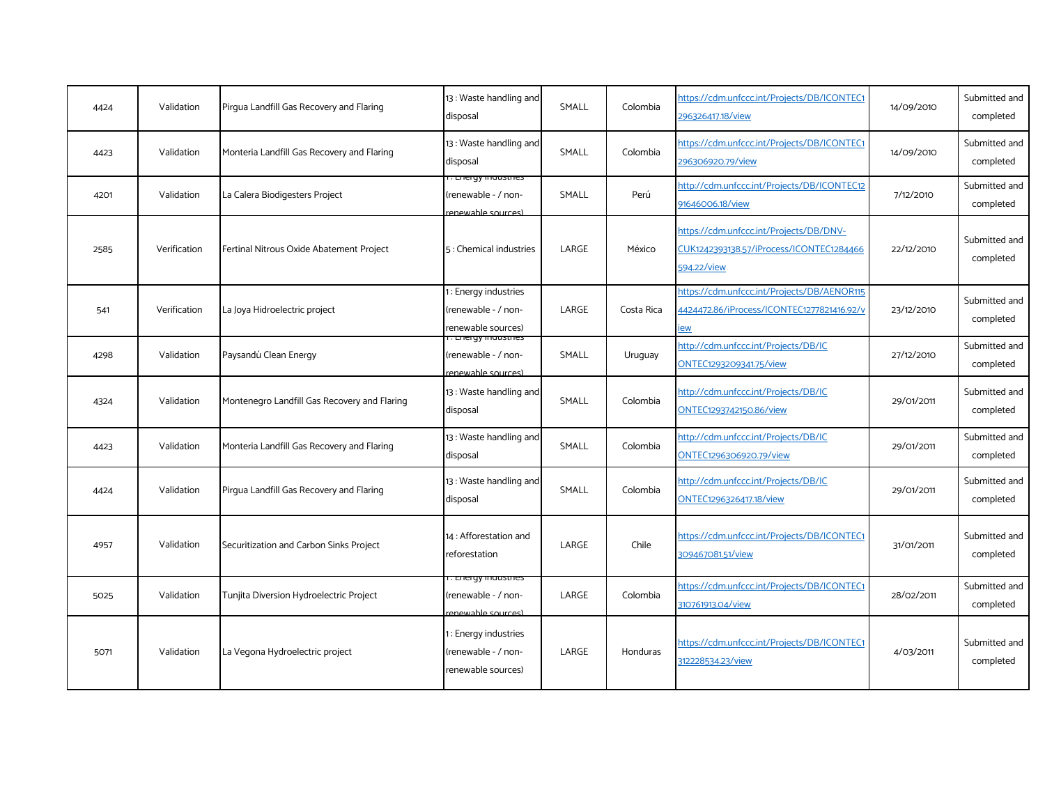| 4424 | Validation   | Pirqua Landfill Gas Recovery and Flaring     | 13: Waste handling and<br>disposal                                      | SMALL | Colombia   | https://cdm.unfccc.int/Projects/DB/ICONTEC1<br>296326417.18/view                                   | 14/09/2010 | Submitted and<br>completed |
|------|--------------|----------------------------------------------|-------------------------------------------------------------------------|-------|------------|----------------------------------------------------------------------------------------------------|------------|----------------------------|
| 4423 | Validation   | Monteria Landfill Gas Recovery and Flaring   | 13: Waste handling and<br>disposal                                      | SMALL | Colombia   | https://cdm.unfccc.int/Projects/DB/ICONTEC1<br>296306920.79/view                                   | 14/09/2010 | Submitted and<br>completed |
| 4201 | Validation   | La Calera Biodigesters Project               | r. Energy maustnes<br>renewable - / non-<br>renewable sources)          | SMALL | Perú       | http://cdm.unfccc.int/Projects/DB/ICONTEC12<br>91646006.18/view                                    | 7/12/2010  | Submitted and<br>completed |
| 2585 | Verification | Fertinal Nitrous Oxide Abatement Project     | 5: Chemical industries                                                  | LARGE | México     | https://cdm.unfccc.int/Projects/DB/DNV-<br>CUK1242393138.57/iProcess/ICONTEC1284466<br>594.22/view | 22/12/2010 | Submitted and<br>completed |
| 541  | Verification | La Joya Hidroelectric project                | 1: Energy industries<br>(renewable - / non-<br>renewable sources)       | LARGE | Costa Rica | https://cdm.unfccc.int/Projects/DB/AENOR115<br>4424472.86/iProcess/ICONTEC1277821416.92/v<br>ew    | 23/12/2010 | Submitted and<br>completed |
| 4298 | Validation   | Paysandú Clean Energy                        | <u>. Lileigy liluusules</u><br>renewable - / non-<br>renewable sources) | SMALL | Uruguay    | http://cdm.unfccc.int/Projects/DB/IC<br>ONTEC1293209341.75/view                                    | 27/12/2010 | Submitted and<br>completed |
| 4324 | Validation   | Montenegro Landfill Gas Recovery and Flaring | 13: Waste handling and<br>disposal                                      | SMALL | Colombia   | http://cdm.unfccc.int/Projects/DB/IC<br>ONTEC1293742150.86/view                                    | 29/01/2011 | Submitted and<br>completed |
| 4423 | Validation   | Monteria Landfill Gas Recovery and Flaring   | 13: Waste handling and<br>disposal                                      | SMALL | Colombia   | http://cdm.unfccc.int/Projects/DB/IC<br>ONTEC1296306920.79/view                                    | 29/01/2011 | Submitted and<br>completed |
| 4424 | Validation   | Pirqua Landfill Gas Recovery and Flaring     | 13: Waste handling and<br>disposal                                      | SMALL | Colombia   | http://cdm.unfccc.int/Projects/DB/IC<br>ONTEC1296326417.18/view                                    | 29/01/2011 | Submitted and<br>completed |
| 4957 | Validation   | Securitization and Carbon Sinks Project      | 14 : Afforestation and<br>reforestation                                 | LARGE | Chile      | https://cdm.unfccc.int/Projects/DB/ICONTEC1<br>309467081.51/view                                   | 31/01/2011 | Submitted and<br>completed |
| 5025 | Validation   | Tunjita Diversion Hydroelectric Project      | . Lilelyy industries<br>(renewable - / non-<br>renewable sources)       | LARGE | Colombia   | https://cdm.unfccc.int/Projects/DB/ICONTEC1<br>310761913.04/view                                   | 28/02/2011 | Submitted and<br>completed |
| 5071 | Validation   | La Vegona Hydroelectric project              | : Energy industries<br>renewable - / non-<br>renewable sources)         | LARGE | Honduras   | https://cdm.unfccc.int/Projects/DB/ICONTEC1<br>312228534.23/view                                   | 4/03/2011  | Submitted and<br>completed |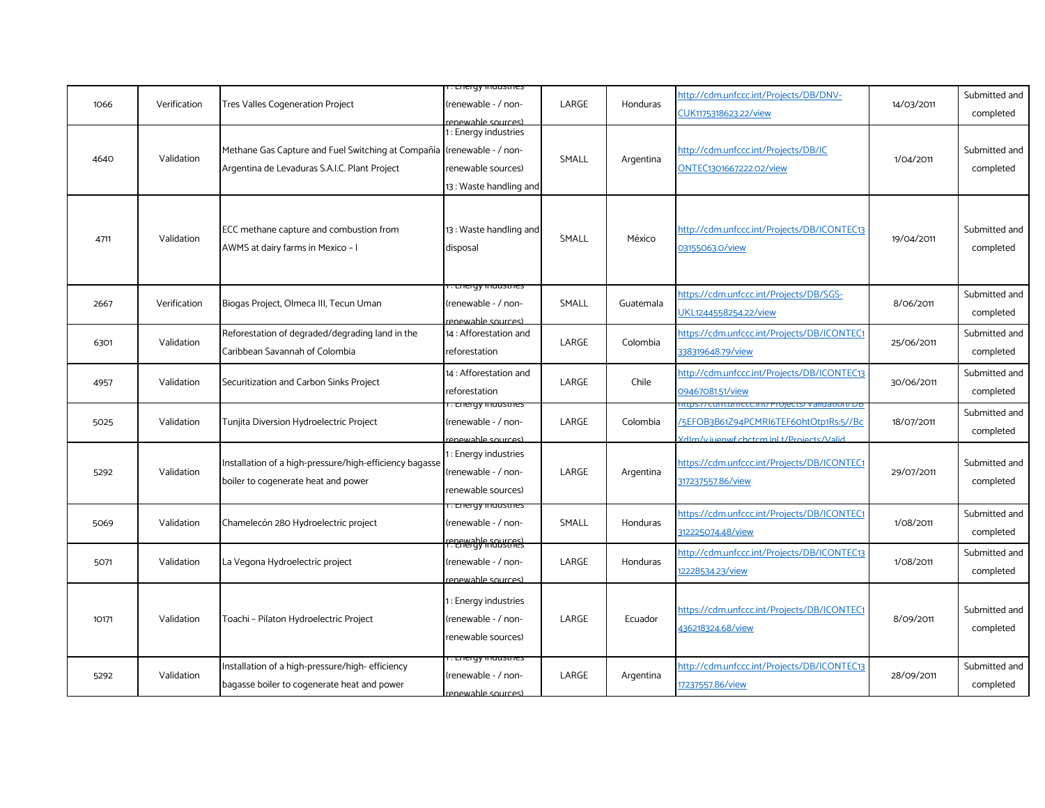| 1066  | Verification | Tres Valles Cogeneration Project                                                                    | . Liieigy industries<br>(renewable - / non-<br>enewable sources)                            | LARGE | Honduras  | http://cdm.unfccc.int/Projects/DB/DNV-<br>CUK1175318623.22/view                    | 14/03/2011 | Submitted and<br>completed |
|-------|--------------|-----------------------------------------------------------------------------------------------------|---------------------------------------------------------------------------------------------|-------|-----------|------------------------------------------------------------------------------------|------------|----------------------------|
| 4640  | Validation   | Methane Gas Capture and Fuel Switching at Compañía<br>Argentina de Levaduras S.A.I.C. Plant Project | 1: Energy industries<br>(renewable - / non-<br>renewable sources)<br>13: Waste handling and | SMALL | Argentina | http://cdm.unfccc.int/Projects/DB/IC<br>ONTEC1301667222.02/view                    | 1/04/2011  | Submitted and<br>completed |
| 4711  | Validation   | ECC methane capture and combustion from<br>AWMS at dairy farms in Mexico - I                        | 13: Waste handling and<br>disposal                                                          | SMALL | México    | http://cdm.unfccc.int/Projects/DB/ICONTEC13<br>03155063.0/view                     | 19/04/2011 | Submitted and<br>completed |
| 2667  | Verification | Biogas Project, Olmeca III, Tecun Uman                                                              | . Energy mausures<br>(renewable - / non-<br>enewable sources)                               | SMALL | Guatemala | https://cdm.unfccc.int/Projects/DB/SGS-<br>JKL1244558254.22/view                   | 8/06/2011  | Submitted and<br>completed |
| 6301  | Validation   | Reforestation of degraded/degrading land in the<br>Caribbean Savannah of Colombia                   | 14 : Afforestation and<br>reforestation                                                     | LARGE | Colombia  | https://cdm.unfccc.int/Projects/DB/ICONTEC1<br>338319648.79/view                   | 25/06/2011 | Submitted and<br>completed |
| 4957  | Validation   | Securitization and Carbon Sinks Project                                                             | 14 : Afforestation and<br>reforestation                                                     | LARGE | Chile     | http://cdm.unfccc.int/Projects/DB/ICONTEC13<br>09467081.51/view                    | 30/06/2011 | Submitted and<br>completed |
| 5025  | Validation   | Tunjita Diversion Hydroelectric Project                                                             | r. Energy maastnes<br>(renewable - / non-<br>renewable sources)                             | LARGE | Colombia  | 5EFOB3B61Z94PCMRI6TEF60htOtp1Rs:5//Bc<br>(dlm/viuenwf.chctcm.inl.t/Projects/Valid) | 18/07/2011 | Submitted and<br>completed |
| 5292  | Validation   | Installation of a high-pressure/high-efficiency bagasse<br>boiler to cogenerate heat and power      | 1: Energy industries<br>(renewable - / non-<br>renewable sources)                           | LARGE | Argentina | https://cdm.unfccc.int/Projects/DB/ICONTEC1<br>317237557.86/view                   | 29/07/2011 | Submitted and<br>completed |
| 5069  | Validation   | Chamelecón 280 Hydroelectric project                                                                | r. Energy muusunes<br>(renewable - / non-<br>reneredy a sources                             | SMALL | Honduras  | https://cdm.unfccc.int/Projects/DB/ICONTEC1<br>312225074.48/view                   | 1/08/2011  | Submitted and<br>completed |
| 5071  | Validation   | La Vegona Hydroelectric project                                                                     | (renewable - / non-<br>enewable sources)                                                    | LARGE | Honduras  | http://cdm.unfccc.int/Projects/DB/ICONTEC13<br>12228534.23/view                    | 1/08/2011  | Submitted and<br>completed |
| 10171 | Validation   | Toachi - Pilaton Hydroelectric Project                                                              | : Energy industries<br>(renewable - / non-<br>renewable sources)                            | LARGE | Ecuador   | https://cdm.unfccc.int/Projects/DB/ICONTEC1<br>436218324.68/view                   | 8/09/2011  | Submitted and<br>completed |
| 5292  | Validation   | Installation of a high-pressure/high-efficiency<br>bagasse boiler to cogenerate heat and power      | i . Energy industries<br>renewable - / non-<br>renewable sources)                           | LARGE | Argentina | http://cdm.unfccc.int/Projects/DB/ICONTEC13<br>17237557.86/view                    | 28/09/2011 | Submitted and<br>completed |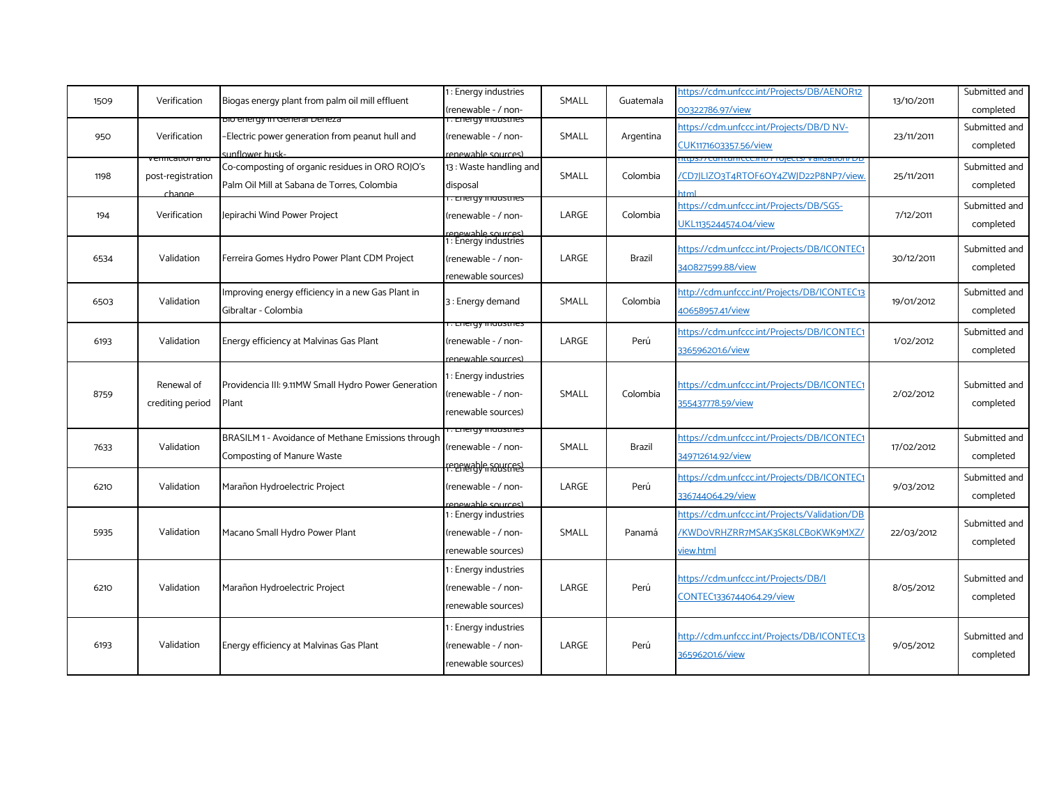| 1509 | Verification                                  | Biogas energy plant from palm oil mill effluent                                                   | 1: Energy industries<br>(renewable - / non-                                             | SMALL | Guatemala     | https://cdm.unfccc.int/Projects/DB/AENOR12<br>00322786.97/view                                 | 13/10/2011 | Submitted and<br>completed |
|------|-----------------------------------------------|---------------------------------------------------------------------------------------------------|-----------------------------------------------------------------------------------------|-------|---------------|------------------------------------------------------------------------------------------------|------------|----------------------------|
| 950  | Verification                                  | più energy in General Deneza<br>-Electric power generation from peanut hull and<br>unflower husk- | <u>. Liferay industries</u><br>(renewable - / non-<br>renewable sources)                | SMALL | Argentina     | https://cdm.unfccc.int/Projects/DB/D NV-<br>CUK1171603357.56/view                              | 23/11/2011 | Submitted and<br>completed |
| 1198 | /enncation and<br>post-registration<br>change | Co-composting of organic residues in ORO ROJO's<br>Palm Oil Mill at Sabana de Torres, Colombia    | 13: Waste handling and<br>disposal                                                      | SMALL | Colombia      | /CD7JLIZO3T4RTOF6OY4ZWJD22P8NP7/view.                                                          | 25/11/2011 | Submitted and<br>completed |
| 194  | Verification                                  | Jepirachi Wind Power Project                                                                      | . Energy mausures<br>(renewable - / non-                                                | LARGE | Colombia      | https://cdm.unfccc.int/Projects/DB/SGS-<br>UKL1135244574.04/view                               | 7/12/2011  | Submitted and<br>completed |
| 6534 | Validation                                    | Ferreira Gomes Hydro Power Plant CDM Project                                                      | renewable sources)<br>1: Energy industries<br>(renewable - / non-<br>renewable sources) | LARGE | <b>Brazil</b> | https://cdm.unfccc.int/Projects/DB/ICONTEC1<br>340827599.88/view                               | 30/12/2011 | Submitted and<br>completed |
| 6503 | Validation                                    | Improving energy efficiency in a new Gas Plant in<br>Gibraltar - Colombia                         | 3: Energy demand                                                                        | SMALL | Colombia      | http://cdm.unfccc.int/Projects/DB/ICONTEC13<br>40658957.41/view                                | 19/01/2012 | Submitted and<br>completed |
| 6193 | Validation                                    | Energy efficiency at Malvinas Gas Plant                                                           | . Energy muusules<br>(renewable - / non-<br>renewable sources)                          | LARGE | Perú          | https://cdm.unfccc.int/Projects/DB/ICONTEC1<br>336596201.6/view                                | 1/02/2012  | Submitted and<br>completed |
| 8759 | Renewal of<br>crediting period                | Providencia III: 9.11MW Small Hydro Power Generation<br>Plant                                     | : Energy industries<br>renewable - / non-<br>renewable sources)                         | SMALL | Colombia      | https://cdm.unfccc.int/Projects/DB/ICONTEC1<br>355437778.59/view                               | 2/02/2012  | Submitted and<br>completed |
| 7633 | Validation                                    | BRASILM 1 - Avoidance of Methane Emissions through<br>Composting of Manure Waste                  | . Energy muusules<br>renewable - / non-<br>rener able sources                           | SMALL | Brazil        | https://cdm.unfccc.int/Projects/DB/ICONTEC1<br>349712614.92/view                               | 17/02/2012 | Submitted and<br>completed |
| 6210 | Validation                                    | Marañon Hydroelectric Project                                                                     | renewable - / non-<br>enewable sources)                                                 | LARGE | Perú          | https://cdm.unfccc.int/Projects/DB/ICONTEC1<br>336744064.29/view                               | 9/03/2012  | Submitted and<br>completed |
| 5935 | Validation                                    | Macano Small Hydro Power Plant                                                                    | 1: Energy industries<br>(renewable - / non-<br>renewable sources)                       | SMALL | Panamá        | https://cdm.unfccc.int/Projects/Validation/DB<br>/KWDoVRHZRR7MSAK3SK8LCBoKWK9MXZ/<br>view.html | 22/03/2012 | Submitted and<br>completed |
| 6210 | Validation                                    | Marañon Hydroelectric Project                                                                     | 1: Energy industries<br>renewable - / non-<br>renewable sources)                        | LARGE | Perú          | https://cdm.unfccc.int/Projects/DB/I<br>CONTEC1336744064.29/view                               | 8/05/2012  | Submitted and<br>completed |
| 6193 | Validation                                    | Energy efficiency at Malvinas Gas Plant                                                           | : Energy industries<br>renewable - / non-<br>renewable sources)                         | LARGE | Perú          | http://cdm.unfccc.int/Projects/DB/ICONTEC13<br>36596201.6/view                                 | 9/05/2012  | Submitted and<br>completed |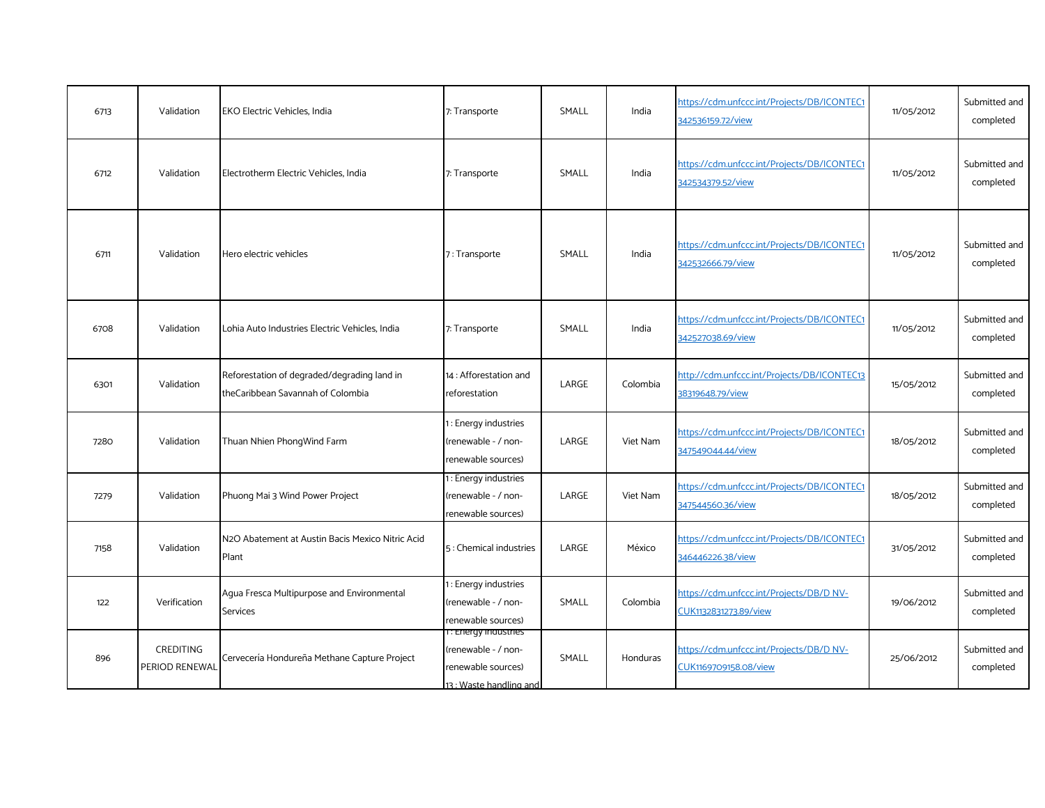| 6713 | Validation                         | <b>EKO Electric Vehicles, India</b>                                              | 7: Transporte                                                                                | SMALL | India    | https://cdm.unfccc.int/Projects/DB/ICONTEC1<br>342536159.72/view  | 11/05/2012 | Submitted and<br>completed |
|------|------------------------------------|----------------------------------------------------------------------------------|----------------------------------------------------------------------------------------------|-------|----------|-------------------------------------------------------------------|------------|----------------------------|
| 6712 | Validation                         | Electrotherm Electric Vehicles, India                                            | 7: Transporte                                                                                | SMALL | India    | https://cdm.unfccc.int/Projects/DB/ICONTEC1<br>342534379.52/view  | 11/05/2012 | Submitted and<br>completed |
| 6711 | Validation                         | Hero electric vehicles                                                           | 7: Transporte                                                                                | SMALL | India    | https://cdm.unfccc.int/Projects/DB/ICONTEC1<br>342532666.79/view  | 11/05/2012 | Submitted and<br>completed |
| 6708 | Validation                         | Lohia Auto Industries Electric Vehicles, India                                   | 7: Transporte                                                                                | SMALL | India    | https://cdm.unfccc.int/Projects/DB/ICONTEC1<br>342527038.69/view  | 11/05/2012 | Submitted and<br>completed |
| 6301 | Validation                         | Reforestation of degraded/degrading land in<br>theCaribbean Savannah of Colombia | 14 : Afforestation and<br>reforestation                                                      | LARGE | Colombia | http://cdm.unfccc.int/Projects/DB/ICONTEC13<br>38319648.79/view   | 15/05/2012 | Submitted and<br>completed |
| 7280 | Validation                         | Thuan Nhien PhongWind Farm                                                       | : Energy industries<br>(renewable - / non-<br>renewable sources)                             | LARGE | Viet Nam | https://cdm.unfccc.int/Projects/DB/ICONTEC1<br>347549044.44/view  | 18/05/2012 | Submitted and<br>completed |
| 7279 | Validation                         | Phuong Mai 3 Wind Power Project                                                  | I: Energy industries<br>(renewable - / non-<br>renewable sources)                            | LARGE | Viet Nam | https://cdm.unfccc.int/Projects/DB/ICONTEC1<br>347544560.36/view  | 18/05/2012 | Submitted and<br>completed |
| 7158 | Validation                         | N2O Abatement at Austin Bacis Mexico Nitric Acid<br>Plant                        | 5 : Chemical industries                                                                      | LARGE | México   | https://cdm.unfccc.int/Projects/DB/ICONTEC1<br>346446226.38/view  | 31/05/2012 | Submitted and<br>completed |
| 122  | Verification                       | Agua Fresca Multipurpose and Environmental<br>Services                           | 1: Energy industries<br>(renewable - / non-<br>renewable sources)                            | SMALL | Colombia | https://cdm.unfccc.int/Projects/DB/D NV-<br>CUK1132831273.89/view | 19/06/2012 | Submitted and<br>completed |
| 896  | <b>CREDITING</b><br>PERIOD RENEWAL | Cervecería Hondureña Methane Capture Project                                     | i: Eriergy maustries<br>(renewable - / non-<br>renewable sources)<br>13 : Waste handling and | SMALL | Honduras | https://cdm.unfccc.int/Projects/DB/D NV-<br>CUK1169709158.08/view | 25/06/2012 | Submitted and<br>completed |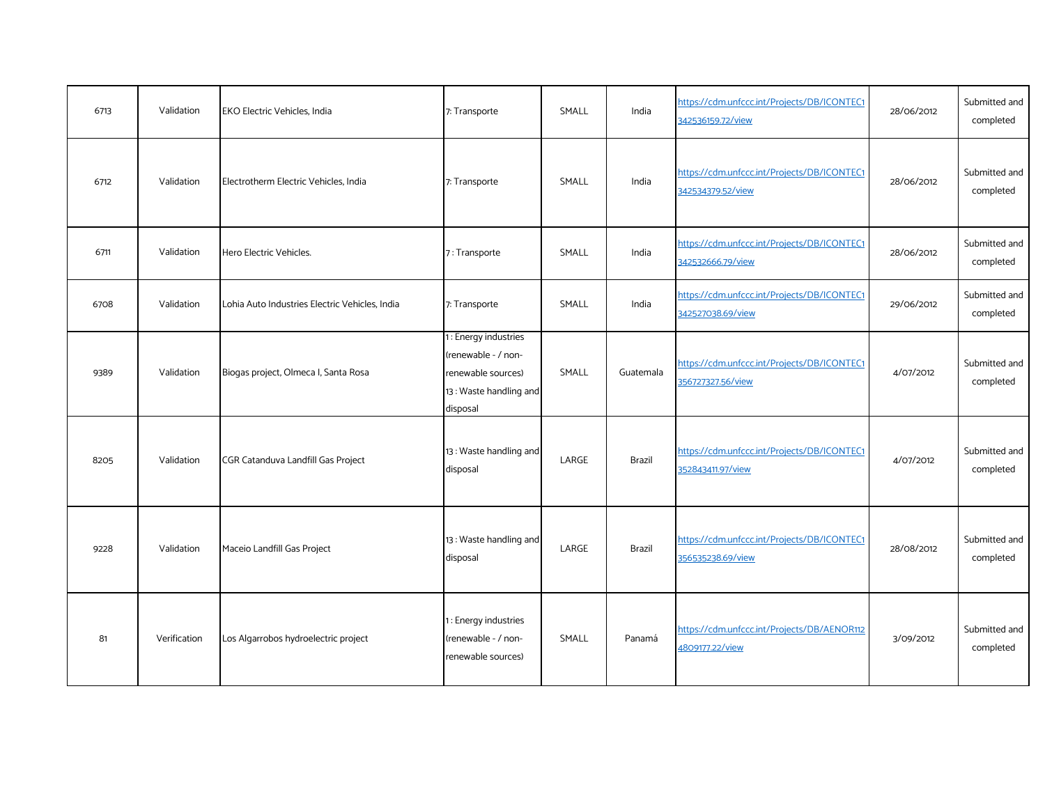| 6713 | Validation   | <b>EKO Electric Vehicles, India</b>            | 7: Transporte                                                                                           | SMALL | India     | https://cdm.unfccc.int/Projects/DB/ICONTEC1<br>342536159.72/view | 28/06/2012 | Submitted and<br>completed |
|------|--------------|------------------------------------------------|---------------------------------------------------------------------------------------------------------|-------|-----------|------------------------------------------------------------------|------------|----------------------------|
| 6712 | Validation   | Electrotherm Electric Vehicles, India          | 7: Transporte                                                                                           | SMALL | India     | https://cdm.unfccc.int/Projects/DB/ICONTEC1<br>342534379.52/view | 28/06/2012 | Submitted and<br>completed |
| 6711 | Validation   | Hero Electric Vehicles.                        | 7: Transporte                                                                                           | SMALL | India     | https://cdm.unfccc.int/Projects/DB/ICONTEC1<br>342532666.79/view | 28/06/2012 | Submitted and<br>completed |
| 6708 | Validation   | Lohia Auto Industries Electric Vehicles, India | 7: Transporte                                                                                           | SMALL | India     | https://cdm.unfccc.int/Projects/DB/ICONTEC1<br>342527038.69/view | 29/06/2012 | Submitted and<br>completed |
| 9389 | Validation   | Biogas project, Olmeca I, Santa Rosa           | 1: Energy industries<br>(renewable - / non-<br>renewable sources)<br>13: Waste handling and<br>disposal | SMALL | Guatemala | https://cdm.unfccc.int/Projects/DB/ICONTEC1<br>356727327.56/view | 4/07/2012  | Submitted and<br>completed |
| 8205 | Validation   | CGR Catanduva Landfill Gas Project             | 13: Waste handling and<br>disposal                                                                      | LARGE | Brazil    | https://cdm.unfccc.int/Projects/DB/ICONTEC1<br>352843411.97/view | 4/07/2012  | Submitted and<br>completed |
| 9228 | Validation   | Maceio Landfill Gas Project                    | 13: Waste handling and<br>disposal                                                                      | LARGE | Brazil    | https://cdm.unfccc.int/Projects/DB/ICONTEC1<br>356535238.69/view | 28/08/2012 | Submitted and<br>completed |
| 81   | Verification | Los Algarrobos hydroelectric project           | 1: Energy industries<br>(renewable - / non-<br>renewable sources)                                       | SMALL | Panamá    | https://cdm.unfccc.int/Projects/DB/AENOR112<br>4809177.22/view   | 3/09/2012  | Submitted and<br>completed |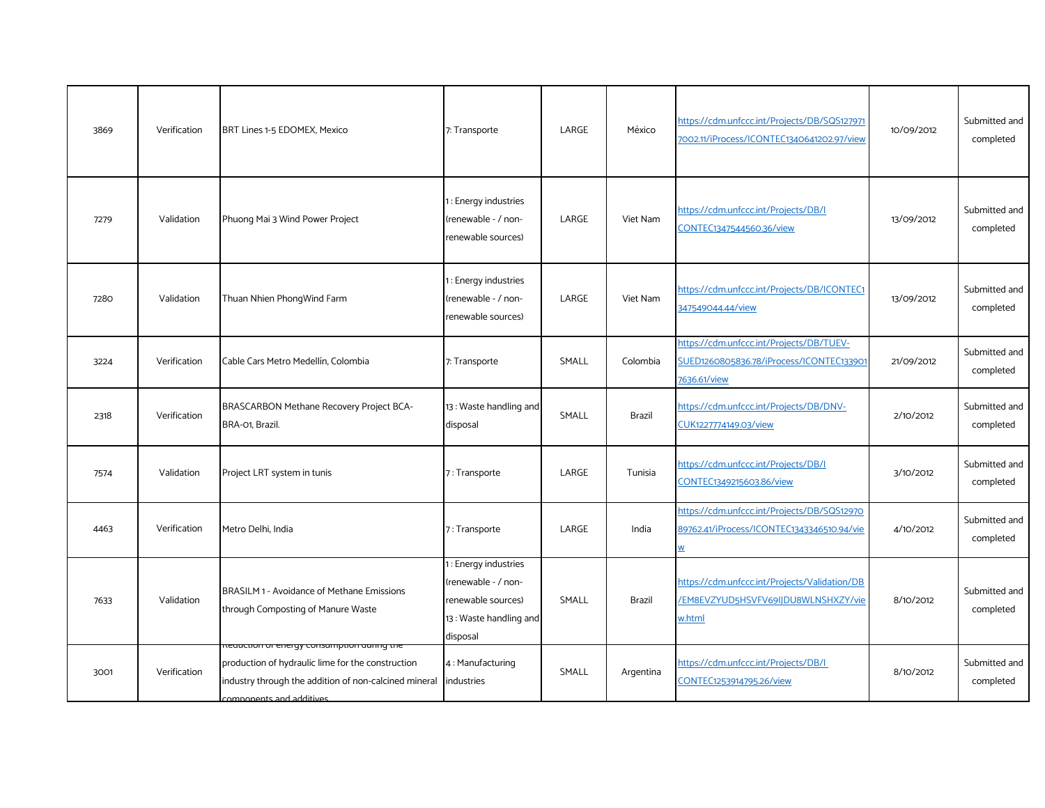| 3869 | Verification | BRT Lines 1-5 EDOMEX, Mexico                                                                                                                                                                   | 7: Transporte                                                                                           | LARGE | México    | https://cdm.unfccc.int/Projects/DB/SQS127971<br>7002.11/iProcess/ICONTEC1340641202.97/view            | 10/09/2012 | Submitted and<br>completed |
|------|--------------|------------------------------------------------------------------------------------------------------------------------------------------------------------------------------------------------|---------------------------------------------------------------------------------------------------------|-------|-----------|-------------------------------------------------------------------------------------------------------|------------|----------------------------|
| 7279 | Validation   | Phuong Mai 3 Wind Power Project                                                                                                                                                                | 1: Energy industries<br>renewable - / non-<br>renewable sources)                                        | LARGE | Viet Nam  | https://cdm.unfccc.int/Projects/DB/I<br>CONTEC1347544560.36/view                                      | 13/09/2012 | Submitted and<br>completed |
| 7280 | Validation   | Thuan Nhien PhongWind Farm                                                                                                                                                                     | 1 : Energy industries<br>renewable - / non-<br>renewable sources)                                       | LARGE | Viet Nam  | https://cdm.unfccc.int/Projects/DB/ICONTEC1<br>347549044.44/view                                      | 13/09/2012 | Submitted and<br>completed |
| 3224 | Verification | Cable Cars Metro Medellín, Colombia                                                                                                                                                            | 7: Transporte                                                                                           | SMALL | Colombia  | https://cdm.unfccc.int/Projects/DB/TUEV-<br>SUED1260805836.78/iProcess/ICONTEC133901<br>7636.61/view  | 21/09/2012 | Submitted and<br>completed |
| 2318 | Verification | BRASCARBON Methane Recovery Project BCA-<br>BRA-01, Brazil.                                                                                                                                    | 13: Waste handling and<br>disposal                                                                      | SMALL | Brazil    | https://cdm.unfccc.int/Projects/DB/DNV-<br>CUK1227774149.03/view                                      | 2/10/2012  | Submitted and<br>completed |
| 7574 | Validation   | Project LRT system in tunis                                                                                                                                                                    | 7: Transporte                                                                                           | LARGE | Tunisia   | https://cdm.unfccc.int/Projects/DB/I<br>CONTEC1349215603.86/view                                      | 3/10/2012  | Submitted and<br>completed |
| 4463 | Verification | Metro Delhi, India                                                                                                                                                                             | 7: Transporte                                                                                           | LARGE | India     | https://cdm.unfccc.int/Projects/DB/SQS12970<br>89762.41/iProcess/ICONTEC1343346510.94/vie<br><u>W</u> | 4/10/2012  | Submitted and<br>completed |
| 7633 | Validation   | BRASILM 1 - Avoidance of Methane Emissions<br>through Composting of Manure Waste                                                                                                               | 1: Energy industries<br>(renewable - / non-<br>renewable sources)<br>13: Waste handling and<br>disposal | SMALL | Brazil    | https://cdm.unfccc.int/Projects/Validation/DB<br>/EM8EVZYUD5HSVFV69IJDU8WLNSHXZY/vie<br>w.html        | 8/10/2012  | Submitted and<br>completed |
| 3001 | Verification | <del>neuaction or energy consumption aumig the</del><br>production of hydraulic lime for the construction<br>industry through the addition of non-calcined mineral<br>components and additives | 4: Manufacturing<br>industries                                                                          | SMALL | Argentina | https://cdm.unfccc.int/Projects/DB/I<br>CONTEC1253914795.26/view                                      | 8/10/2012  | Submitted and<br>completed |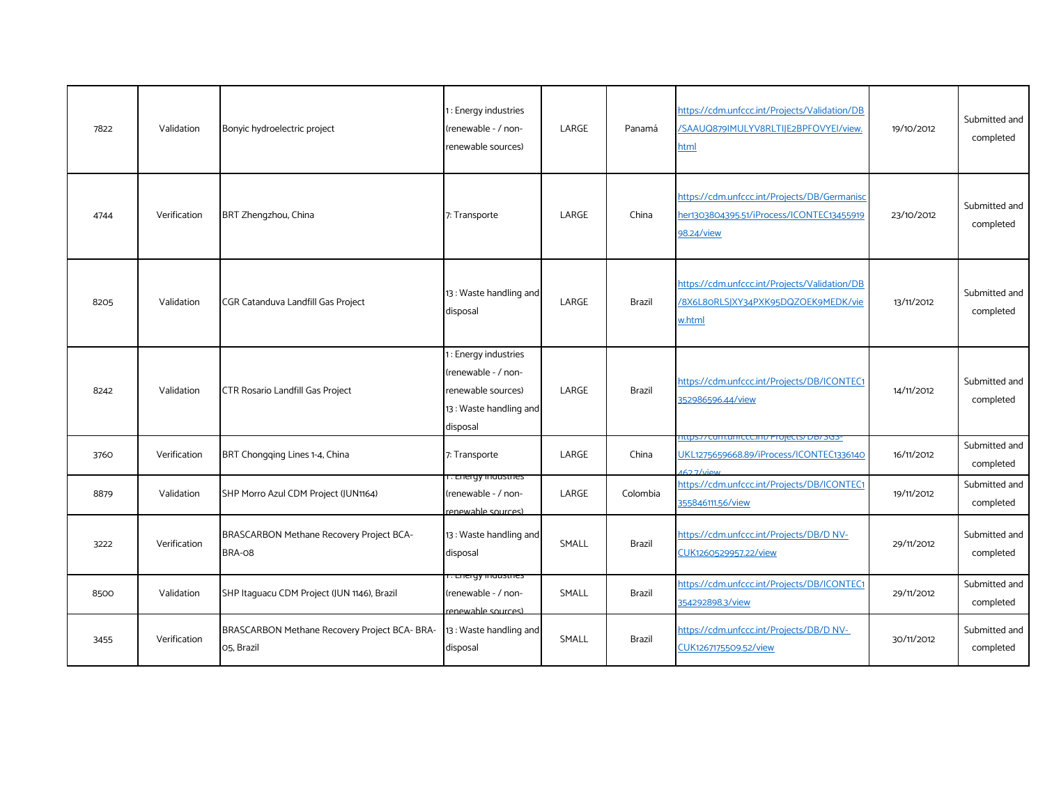| 7822 | Validation   | Bonyic hydroelectric project                                | 1: Energy industries<br>(renewable - / non-<br>renewable sources)                                      | LARGE | Panamá        | https://cdm.unfccc.int/Projects/Validation/DB<br>/SAAUQ879IMULYV8RLTIJE2BPFOVYEI/view.<br>html                   | 19/10/2012 | Submitted and<br>completed |
|------|--------------|-------------------------------------------------------------|--------------------------------------------------------------------------------------------------------|-------|---------------|------------------------------------------------------------------------------------------------------------------|------------|----------------------------|
| 4744 | Verification | BRT Zhengzhou, China                                        | 7: Transporte                                                                                          | LARGE | China         | https://cdm.unfccc.int/Projects/DB/Germanisc<br>her1303804395.51/iProcess/ICONTEC13455919<br>98.24/view          | 23/10/2012 | Submitted and<br>completed |
| 8205 | Validation   | CGR Catanduva Landfill Gas Project                          | 13: Waste handling and<br>disposal                                                                     | LARGE | <b>Brazil</b> | https://cdm.unfccc.int/Projects/Validation/DB<br>/8X6L80RLSJXY34PXK95DQZOEK9MEDK/vie<br>w.html                   | 13/11/2012 | Submitted and<br>completed |
| 8242 | Validation   | <b>CTR Rosario Landfill Gas Project</b>                     | 1: Energy industries<br>renewable - / non-<br>renewable sources)<br>13: Waste handling and<br>disposal | LARGE | <b>Brazil</b> | https://cdm.unfccc.int/Projects/DB/ICONTEC1<br>352986596.44/view                                                 | 14/11/2012 | Submitted and<br>completed |
| 3760 | Verification | BRT Chongging Lines 1-4, China                              | 7: Transporte                                                                                          | LARGE | China         | -co- יכטנג אווווער דיטן פון די דעם וווידי די דעם ווו<br>UKL1275659668.89/iProcess/ICONTEC1336140<br>$1627$ /view | 16/11/2012 | Submitted and<br>completed |
| 8879 | Validation   | SHP Morro Azul CDM Project (JUN1164)                        | r. Energy muusures<br>(renewable - / non-<br>renewable sources)                                        | LARGE | Colombia      | https://cdm.unfccc.int/Projects/DB/ICONTEC1<br>355846111.56/view                                                 | 19/11/2012 | Submitted and<br>completed |
| 3222 | Verification | BRASCARBON Methane Recovery Project BCA-<br>BRA-08          | 13: Waste handling and<br>disposal                                                                     | SMALL | <b>Brazil</b> | https://cdm.unfccc.int/Projects/DB/D NV-<br>CUK1260529957.22/view                                                | 29/11/2012 | Submitted and<br>completed |
| 8500 | Validation   | SHP Itaquacu CDM Project (JUN 1146), Brazil                 | r. Energy maastnes<br>(renewable - / non-<br>renewable sources)                                        | SMALL | <b>Brazil</b> | https://cdm.unfccc.int/Projects/DB/ICONTEC1<br>354292898.3/view                                                  | 29/11/2012 | Submitted and<br>completed |
| 3455 | Verification | BRASCARBON Methane Recovery Project BCA- BRA-<br>O5, Brazil | 13 : Waste handling and<br>disposal                                                                    | SMALL | <b>Brazil</b> | https://cdm.unfccc.int/Projects/DB/D NV-<br>CUK1267175509.52/view                                                | 30/11/2012 | Submitted and<br>completed |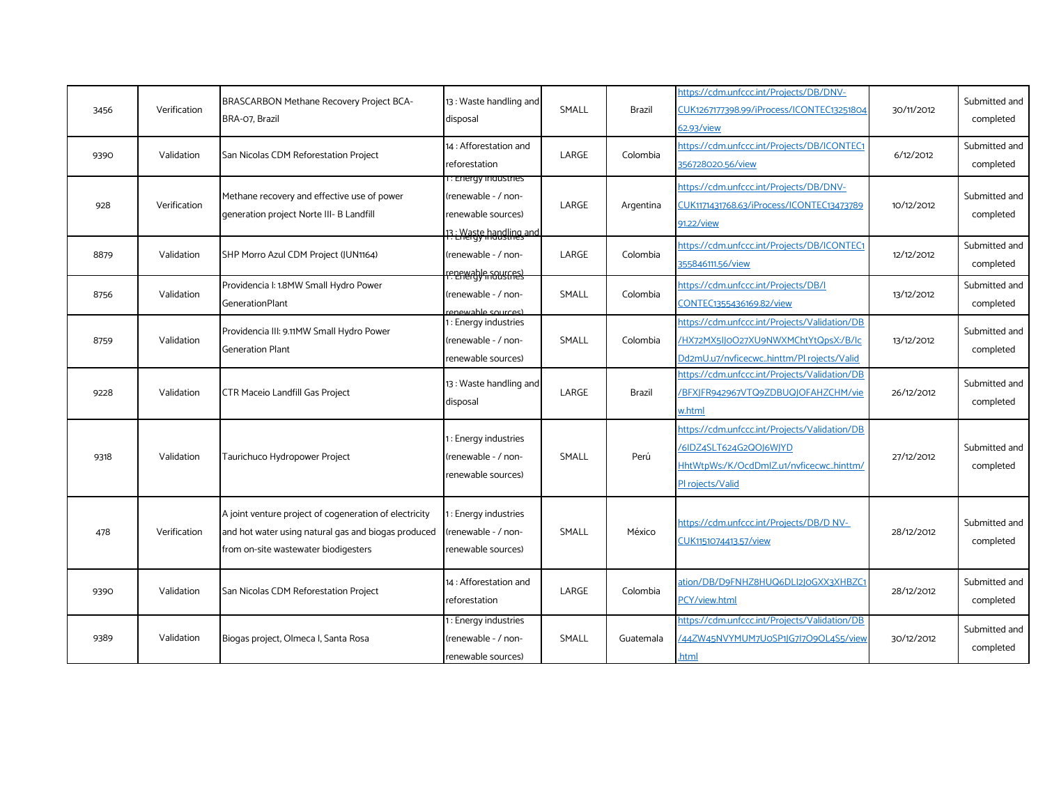| 3456 | Verification | BRASCARBON Methane Recovery Project BCA-<br>BRA-07, Brazil                                                                                            | 13: Waste handling and<br>disposal                                                          | SMALL | <b>Brazil</b> | https://cdm.unfccc.int/Projects/DB/DNV-<br>CUK1267177398.99/iProcess/ICONTEC13251804<br>62.93/view                                     | 30/11/2012 | Submitted and<br>completed |
|------|--------------|-------------------------------------------------------------------------------------------------------------------------------------------------------|---------------------------------------------------------------------------------------------|-------|---------------|----------------------------------------------------------------------------------------------------------------------------------------|------------|----------------------------|
| 9390 | Validation   | San Nicolas CDM Reforestation Project                                                                                                                 | 14 : Afforestation and<br>reforestation                                                     | LARGE | Colombia      | https://cdm.unfccc.int/Projects/DB/ICONTEC1<br>356728020.56/view                                                                       | 6/12/2012  | Submitted and<br>completed |
| 928  | Verification | Methane recovery and effective use of power<br>generation project Norte III- B Landfill                                                               | r: Energy inaustries<br>(renewable - / non-<br>renewable sources)<br>13: Waste handling and | LARGE | Argentina     | https://cdm.unfccc.int/Projects/DB/DNV-<br>CUK1171431768.63/iProcess/ICONTEC13473789<br>91.22/view                                     | 10/12/2012 | Submitted and<br>completed |
| 8879 | Validation   | SHP Morro Azul CDM Project (JUN1164)                                                                                                                  | (renewable - / non-<br>renewable sources                                                    | LARGE | Colombia      | https://cdm.unfccc.int/Projects/DB/ICONTEC1<br>355846111.56/view                                                                       | 12/12/2012 | Submitted and<br>completed |
| 8756 | Validation   | Providencia I: 1.8MW Small Hydro Power<br><b>GenerationPlant</b>                                                                                      | (renewable - / non-<br>enewable sources)                                                    | SMALL | Colombia      | https://cdm.unfccc.int/Projects/DB/I<br>CONTEC1355436169.82/view                                                                       | 13/12/2012 | Submitted and<br>completed |
| 8759 | Validation   | Providencia III: 9.11MW Small Hydro Power<br><b>Generation Plant</b>                                                                                  | 1: Energy industries<br>(renewable - / non-<br>renewable sources)                           | SMALL | Colombia      | https://cdm.unfccc.int/Projects/Validation/DB<br>/HX72MX5IJ0O27XU9NWXMChtYtQpsX:/B/Ic<br>Dd2mU.u7/nvficecwchinttm/Pl rojects/Valid     | 13/12/2012 | Submitted and<br>completed |
| 9228 | Validation   | <b>CTR Maceio Landfill Gas Project</b>                                                                                                                | 13 : Waste handling and<br>disposal                                                         | LARGE | Brazil        | https://cdm.unfccc.int/Projects/Validation/DB<br>/BFXJFR942967VTQ9ZDBUQJOFAHZCHM/vie<br>w.html                                         | 26/12/2012 | Submitted and<br>completed |
| 9318 | Validation   | Taurichuco Hydropower Project                                                                                                                         | 1: Energy industries<br>(renewable - / non-<br>renewable sources)                           | SMALL | Perú          | https://cdm.unfccc.int/Projects/Validation/DB<br>/6IDZ4SLT624G2QOI6WIYD<br>HhtWtpWs:/K/OcdDmlZ.u1/nvficecwchinttm/<br>PI rojects/Valid | 27/12/2012 | Submitted and<br>completed |
| 478  | Verification | A joint venture project of cogeneration of electricity<br>and hot water using natural gas and biogas produced<br>from on-site wastewater biodigesters | 1: Energy industries<br>(renewable - / non-<br>renewable sources)                           | SMALL | México        | https://cdm.unfccc.int/Projects/DB/D NV-<br>CUK1151074413.57/view                                                                      | 28/12/2012 | Submitted and<br>completed |
| 9390 | Validation   | San Nicolas CDM Reforestation Project                                                                                                                 | 14 : Afforestation and<br>reforestation                                                     | LARGE | Colombia      | ation/DB/D9FNHZ8HUQ6DLI2J0GXX3XHBZC<br>PCY/view.html                                                                                   | 28/12/2012 | Submitted and<br>completed |
| 9389 | Validation   | Biogas project, Olmeca I, Santa Rosa                                                                                                                  | 1: Energy industries<br>(renewable - / non-<br>renewable sources)                           | SMALL | Guatemala     | https://cdm.unfccc.int/Projects/Validation/DB<br>44ZW45NVYMUM7U0SP1JG7l7O9OL4S5/view<br>.html                                          | 30/12/2012 | Submitted and<br>completed |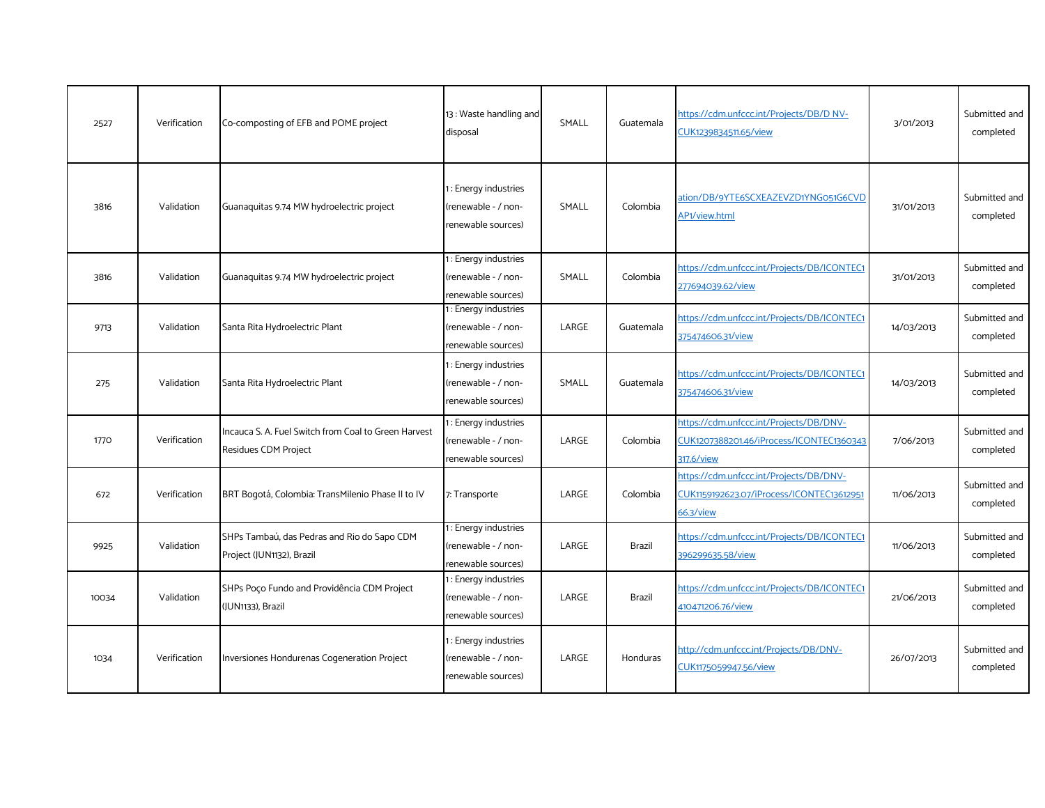| 2527  | Verification | Co-composting of EFB and POME project                                        | 13: Waste handling and<br>disposal                                | SMALL | Guatemala     | https://cdm.unfccc.int/Projects/DB/D NV-<br>CUK1239834511.65/view                                 | 3/01/2013  | Submitted and<br>completed |
|-------|--------------|------------------------------------------------------------------------------|-------------------------------------------------------------------|-------|---------------|---------------------------------------------------------------------------------------------------|------------|----------------------------|
| 3816  | Validation   | Guanaquitas 9.74 MW hydroelectric project                                    | 1: Energy industries<br>(renewable - / non-<br>renewable sources) | SMALL | Colombia      | ation/DB/9YTE6SCXEAZEVZD1YNG051G6CVD<br>AP1/view.html                                             | 31/01/2013 | Submitted and<br>completed |
| 3816  | Validation   | Guanaquitas 9.74 MW hydroelectric project                                    | 1: Energy industries<br>(renewable - / non-<br>renewable sources) | SMALL | Colombia      | https://cdm.unfccc.int/Projects/DB/ICONTEC1<br>277694039.62/view                                  | 31/01/2013 | Submitted and<br>completed |
| 9713  | Validation   | Santa Rita Hydroelectric Plant                                               | 1: Energy industries<br>(renewable - / non-<br>renewable sources) | LARGE | Guatemala     | https://cdm.unfccc.int/Projects/DB/ICONTEC1<br>375474606.31/view                                  | 14/03/2013 | Submitted and<br>completed |
| 275   | Validation   | Santa Rita Hydroelectric Plant                                               | : Energy industries<br>(renewable - / non-<br>renewable sources)  | SMALL | Guatemala     | https://cdm.unfccc.int/Projects/DB/ICONTEC1<br>375474606.31/view                                  | 14/03/2013 | Submitted and<br>completed |
| 1770  | Verification | Incauca S. A. Fuel Switch from Coal to Green Harvest<br>Residues CDM Project | 1: Energy industries<br>(renewable - / non-<br>renewable sources) | LARGE | Colombia      | https://cdm.unfccc.int/Projects/DB/DNV-<br>CUK1207388201.46/iProcess/ICONTEC1360343<br>317.6/view | 7/06/2013  | Submitted and<br>completed |
| 672   | Verification | BRT Bogotá, Colombia: TransMilenio Phase II to IV                            | 7: Transporte                                                     | LARGE | Colombia      | https://cdm.unfccc.int/Projects/DB/DNV-<br>CUK1159192623.07/iProcess/ICONTEC13612951<br>66.3/view | 11/06/2013 | Submitted and<br>completed |
| 9925  | Validation   | SHPs Tambaú, das Pedras and Rio do Sapo CDM<br>Project (JUN1132), Brazil     | 1: Energy industries<br>(renewable - / non-<br>renewable sources) | LARGE | <b>Brazil</b> | https://cdm.unfccc.int/Projects/DB/ICONTEC1<br>396299635.58/view                                  | 11/06/2013 | Submitted and<br>completed |
| 10034 | Validation   | SHPs Poço Fundo and Providência CDM Project<br>(JUN1133), Brazil             | : Energy industries<br>(renewable - / non-<br>renewable sources)  | LARGE | <b>Brazil</b> | https://cdm.unfccc.int/Projects/DB/ICONTEC1<br>410471206.76/view                                  | 21/06/2013 | Submitted and<br>completed |
| 1034  | Verification | Inversiones Hondurenas Cogeneration Project                                  | : Energy industries<br>(renewable - / non-<br>renewable sources)  | LARGE | Honduras      | http://cdm.unfccc.int/Projects/DB/DNV-<br>CUK1175059947.56/view                                   | 26/07/2013 | Submitted and<br>completed |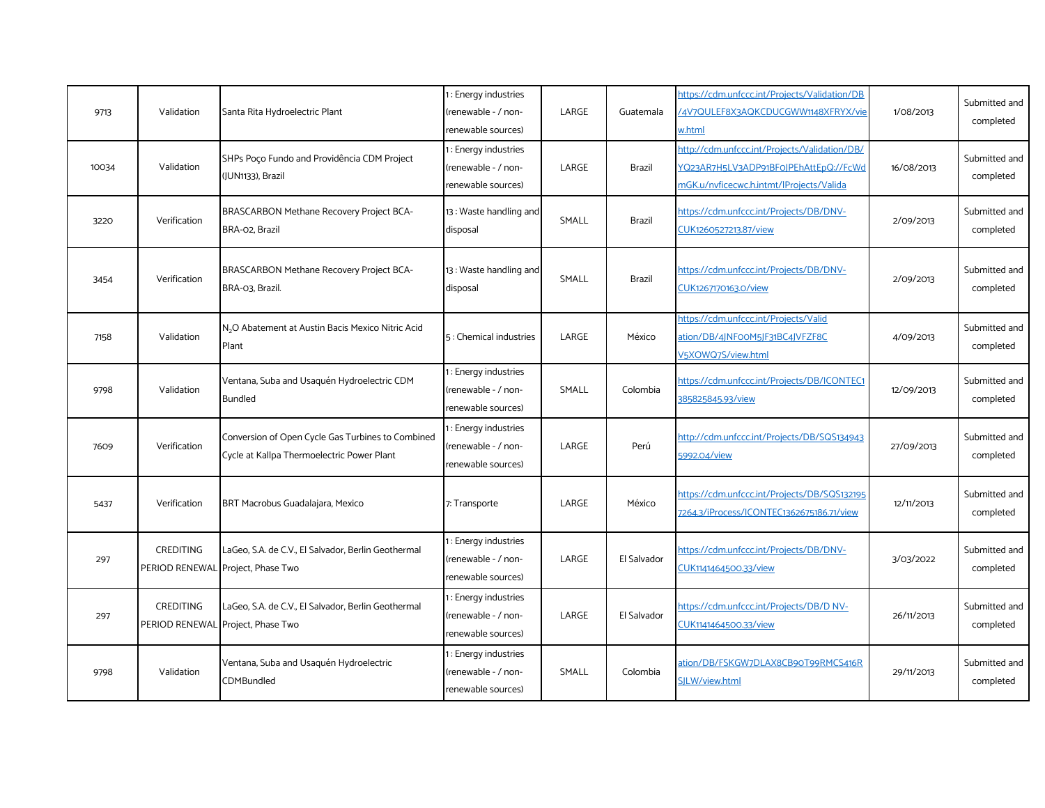| 9713  | Validation       | Santa Rita Hydroelectric Plant                                                                  | 1: Energy industries<br>renewable - / non-<br>renewable sources)  | LARGE | Guatemala     | https://cdm.unfccc.int/Projects/Validation/DB<br>/4V7QULEF8X3AQKCDUCGWW1148XFRYX/vie<br>w.html                                     | 1/08/2013  | Submitted and<br>completed |
|-------|------------------|-------------------------------------------------------------------------------------------------|-------------------------------------------------------------------|-------|---------------|------------------------------------------------------------------------------------------------------------------------------------|------------|----------------------------|
| 10034 | Validation       | SHPs Poço Fundo and Providência CDM Project<br>(JUN1133), Brazil                                | 1: Energy industries<br>renewable - / non-<br>renewable sources)  | LARGE | Brazil        | http://cdm.unfccc.int/Projects/Validation/DB/<br>YQ23AR7H5LV3ADP91BF0JPEhAttEpQ://FcWd<br>mGK.u/nvficecwc.h.intmt/lProjects/Valida | 16/08/2013 | Submitted and<br>completed |
| 3220  | Verification     | BRASCARBON Methane Recovery Project BCA-<br>BRA-02, Brazil                                      | 13: Waste handling and<br>disposal                                | SMALL | <b>Brazil</b> | https://cdm.unfccc.int/Projects/DB/DNV-<br>CUK1260527213.87/view                                                                   | 2/09/2013  | Submitted and<br>completed |
| 3454  | Verification     | BRASCARBON Methane Recovery Project BCA-<br>BRA-03, Brazil.                                     | 13: Waste handling and<br>disposal                                | SMALL | Brazil        | https://cdm.unfccc.int/Projects/DB/DNV-<br>CUK1267170163.0/view                                                                    | 2/09/2013  | Submitted and<br>completed |
| 7158  | Validation       | N <sub>2</sub> O Abatement at Austin Bacis Mexico Nitric Acid<br>Plant                          | 5: Chemical industries                                            | LARGE | México        | https://cdm.unfccc.int/Projects/Valid<br>ation/DB/4JNFooM5JF31BC4JVFZF8C<br>V5XOWQ7S/view.html                                     | 4/09/2013  | Submitted and<br>completed |
| 9798  | Validation       | Ventana, Suba and Usaquén Hydroelectric CDM<br>Bundled                                          | 1: Energy industries<br>renewable - / non-<br>renewable sources)  | SMALL | Colombia      | https://cdm.unfccc.int/Projects/DB/ICONTEC1<br>385825845.93/view                                                                   | 12/09/2013 | Submitted and<br>completed |
| 7609  | Verification     | Conversion of Open Cycle Gas Turbines to Combined<br>Cycle at Kallpa Thermoelectric Power Plant | 1: Energy industries<br>(renewable - / non-<br>renewable sources) | LARGE | Perú          | http://cdm.unfccc.int/Projects/DB/SQS134943<br>5992.04/view                                                                        | 27/09/2013 | Submitted and<br>completed |
| 5437  | Verification     | BRT Macrobus Guadalajara, Mexico                                                                | 7: Transporte                                                     | LARGE | México        | https://cdm.unfccc.int/Projects/DB/SQS132195<br>7264.3/iProcess/ICONTEC1362675186.71/view                                          | 12/11/2013 | Submitted and<br>completed |
| 297   | CREDITING        | LaGeo, S.A. de C.V., El Salvador, Berlin Geothermal<br>PERIOD RENEWAL Project, Phase Two        | 1: Energy industries<br>(renewable - / non-<br>renewable sources) | LARGE | El Salvador   | https://cdm.unfccc.int/Projects/DB/DNV-<br>CUK1141464500.33/view                                                                   | 3/03/2022  | Submitted and<br>completed |
| 297   | <b>CREDITING</b> | LaGeo, S.A. de C.V., El Salvador, Berlin Geothermal<br>PERIOD RENEWAL Project, Phase Two        | 1: Energy industries<br>(renewable - / non-<br>renewable sources) | LARGE | El Salvador   | https://cdm.unfccc.int/Projects/DB/D NV-<br>CUK1141464500.33/view                                                                  | 26/11/2013 | Submitted and<br>completed |
| 9798  | Validation       | Ventana, Suba and Usaquén Hydroelectric<br>CDMBundled                                           | 1: Energy industries<br>renewable - / non-<br>renewable sources)  | SMALL | Colombia      | ation/DB/FSKGW7DLAX8CB90T99RMCS416R<br>SJLW/view.html                                                                              | 29/11/2013 | Submitted and<br>completed |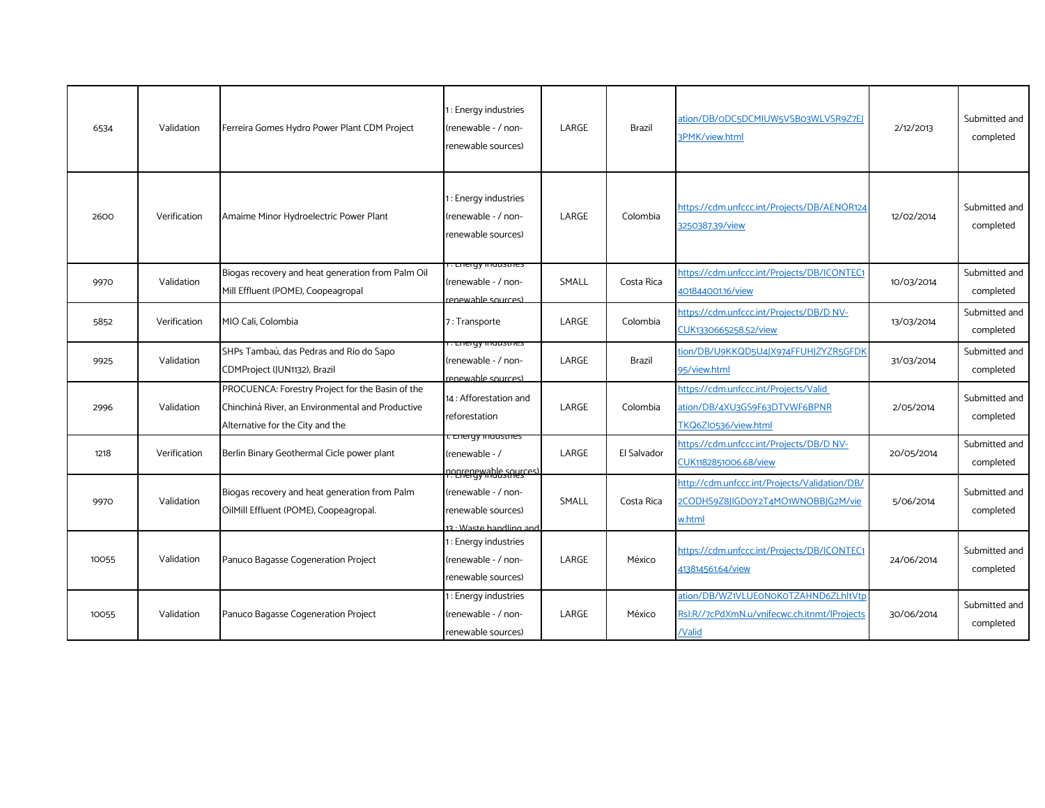| 6534  | Validation   | Ferreira Gomes Hydro Power Plant CDM Project                                                                                             | 1: Energy industries<br>(renewable - / non-<br>renewable sources)          | LARGE | <b>Brazil</b> | ation/DB/oDC5DCMIUW5VSBo3WLVSR9Z7EJ<br>3PMK/view.html                                          | 2/12/2013  | Submitted and<br>completed |
|-------|--------------|------------------------------------------------------------------------------------------------------------------------------------------|----------------------------------------------------------------------------|-------|---------------|------------------------------------------------------------------------------------------------|------------|----------------------------|
| 2600  | Verification | Amaime Minor Hydroelectric Power Plant                                                                                                   | 1: Energy industries<br>(renewable - / non-<br>renewable sources)          | LARGE | Colombia      | https://cdm.unfccc.int/Projects/DB/AENOR124<br>3250387.39/view                                 | 12/02/2014 | Submitted and<br>completed |
| 9970  | Validation   | Biogas recovery and heat generation from Palm Oil<br>Mill Effluent (POME), Coopeagropal                                                  | <u>. Lileigy liluusules</u><br>(renewable - / non-<br>renewable sources)   | SMALL | Costa Rica    | https://cdm.unfccc.int/Projects/DB/ICONTEC1<br>401844001.16/view                               | 10/03/2014 | Submitted and<br>completed |
| 5852  | Verification | MIO Cali, Colombia                                                                                                                       | 7: Transporte                                                              | LARGE | Colombia      | https://cdm.unfccc.int/Projects/DB/D NV-<br>CUK1330665258.52/view                              | 13/03/2014 | Submitted and<br>completed |
| 9925  | Validation   | SHPs Tambaú, das Pedras and Rio do Sapo<br>CDMProject (JUN1132), Brazil                                                                  | . Energy mausures<br>renewable - / non-<br>renewable sources)              | LARGE | Brazil        | tion/DB/U9KKQD5U4JX974FFUHJZYZR5GFDK<br>95/view.html                                           | 31/03/2014 | Submitted and<br>completed |
| 2996  | Validation   | PROCUENCA: Forestry Project for the Basin of the<br>Chinchiná River, an Environmental and Productive<br>Alternative for the City and the | 14 : Afforestation and<br>reforestation                                    | LARGE | Colombia      | https://cdm.unfccc.int/Projects/Valid<br>ation/DB/4XU3GS9F63DTVWF6BPNR<br>TKQ6ZI0536/view.html | 2/05/2014  | Submitted and<br>completed |
| 1218  | Verification | Berlin Binary Geothermal Cicle power plant                                                                                               | . Lileryy iriuusu les<br>(renewable - /<br>nonrenewable sources)           | LARGE | El Salvador   | https://cdm.unfccc.int/Projects/DB/D NV-<br>CUK1182851006.68/view                              | 20/05/2014 | Submitted and<br>completed |
| 9970  | Validation   | Biogas recovery and heat generation from Palm<br>OilMill Effluent (POME), Coopeagropal.                                                  | (renewable - / non-<br>renewable sources)<br>$13 \cdot$ Waste handling and | SMALL | Costa Rica    | http://cdm.unfccc.int/Projects/Validation/DB/<br>2CODHS9Z8JIGDoY2T4MO1WNOBBJG2M/vie<br>w.html  | 5/06/2014  | Submitted and<br>completed |
| 10055 | Validation   | Panuco Bagasse Cogeneration Project                                                                                                      | 1: Energy industries<br>renewable - / non-<br>renewable sources)           | LARGE | México        | https://cdm.unfccc.int/Projects/DB/ICONTEC1<br>413814561.64/view                               | 24/06/2014 | Submitted and<br>completed |
| 10055 | Validation   | Panuco Bagasse Cogeneration Project                                                                                                      | 1: Energy industries<br>renewable - / non-<br>renewable sources)           | LARGE | México        | ation/DB/WZ1VLUEoNoKoTZAHND6ZLhltVtp<br>RsI:R//7cPdXmN.u/vnifecwc.ch.itnmt/lProjects<br>/Valid | 30/06/2014 | Submitted and<br>completed |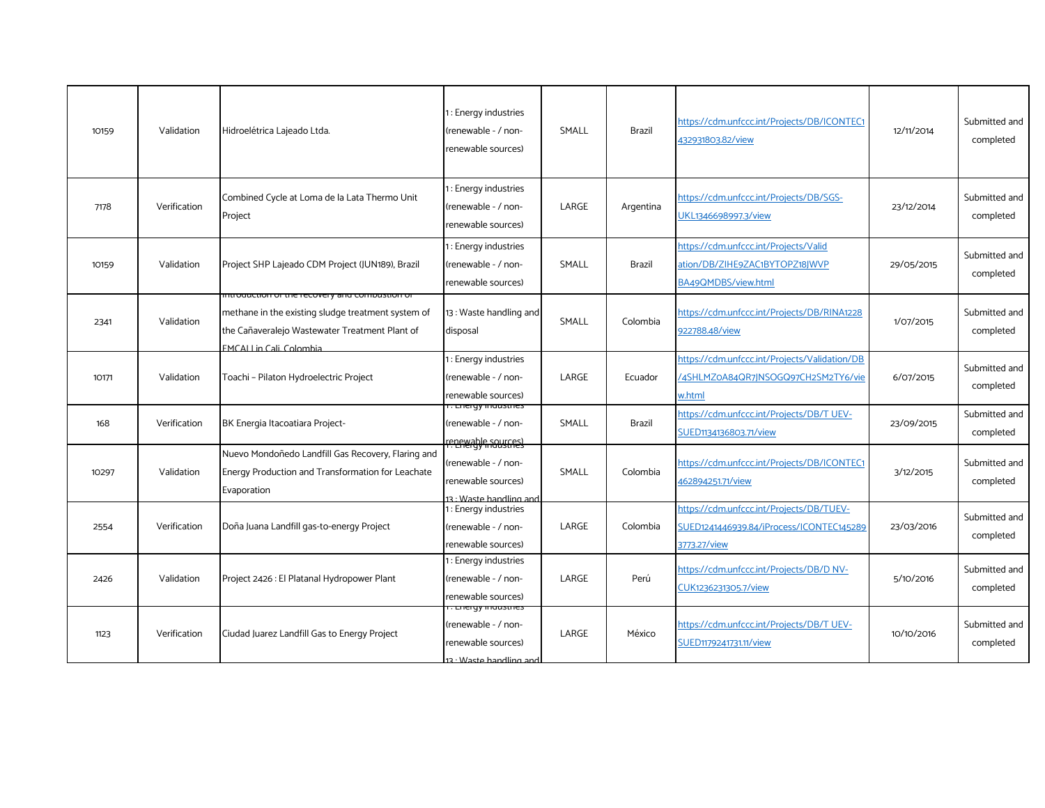| 10159 | Validation   | Hidroelétrica Lajeado Ltda.                                                                                                                                                                | 1: Energy industries<br>(renewable - / non-<br>renewable sources)                                       | SMALL | <b>Brazil</b> | https://cdm.unfccc.int/Projects/DB/ICONTEC1<br>432931803.82/view                                      | 12/11/2014 | Submitted and<br>completed |
|-------|--------------|--------------------------------------------------------------------------------------------------------------------------------------------------------------------------------------------|---------------------------------------------------------------------------------------------------------|-------|---------------|-------------------------------------------------------------------------------------------------------|------------|----------------------------|
| 7178  | Verification | Combined Cycle at Loma de la Lata Thermo Unit<br>Project                                                                                                                                   | 1: Energy industries<br>(renewable - / non-<br>renewable sources)                                       | LARGE | Argentina     | https://cdm.unfccc.int/Projects/DB/SGS-<br>UKL1346698997.3/view                                       | 23/12/2014 | Submitted and<br>completed |
| 10159 | Validation   | Project SHP Lajeado CDM Project (JUN189), Brazil                                                                                                                                           | 1: Energy industries<br>(renewable - / non-<br>renewable sources)                                       | SMALL | Brazil        | https://cdm.unfccc.int/Projects/Valid<br>ation/DB/ZIHE9ZAC1BYTOPZ18JWVP<br>BA49QMDBS/view.html        | 29/05/2015 | Submitted and<br>completed |
| 2341  | Validation   | ורונוסטעכנוסה סרנהפ ופכסעפוץ מהם כסוהוסטגנוסה סו<br>methane in the existing sludge treatment system of<br>the Cañaveralejo Wastewater Treatment Plant of<br><b>EMCALLin Cali, Colombia</b> | 13: Waste handling and<br>disposal                                                                      | SMALL | Colombia      | https://cdm.unfccc.int/Projects/DB/RINA1228<br>922788.48/view                                         | 1/07/2015  | Submitted and<br>completed |
| 10171 | Validation   | Toachi - Pilaton Hydroelectric Project                                                                                                                                                     | 1: Energy industries<br>(renewable - / non-<br>renewable sources)                                       | LARGE | Ecuador       | https://cdm.unfccc.int/Projects/Validation/DB<br>/4SHLMZ0A84QR7JNSOGQ97CH2SM2TY6/vie<br><u>w.html</u> | 6/07/2015  | Submitted and<br>completed |
| 168   | Verification | BK Energia Itacoatiara Project-                                                                                                                                                            | . Lilei yy illuusulles<br>(renewable - / non-<br>reper able sources                                     | SMALL | Brazil        | https://cdm.unfccc.int/Projects/DB/T UEV-<br>SUED1134136803.71/view                                   | 23/09/2015 | Submitted and<br>completed |
| 10297 | Validation   | Nuevo Mondoñedo Landfill Gas Recovery, Flaring and<br>Energy Production and Transformation for Leachate<br>Evaporation                                                                     | (renewable - / non-<br>renewable sources)<br>13 · Waste handling and                                    | SMALL | Colombia      | https://cdm.unfccc.int/Projects/DB/ICONTEC1<br>462894251.71/view                                      | 3/12/2015  | Submitted and<br>completed |
| 2554  | Verification | Doña Juana Landfill gas-to-energy Project                                                                                                                                                  | 1: Energy industries<br>(renewable - / non-<br>renewable sources)                                       | LARGE | Colombia      | https://cdm.unfccc.int/Projects/DB/TUEV-<br>SUED1241446939.84/iProcess/ICONTEC145289<br>3773.27/view  | 23/03/2016 | Submitted and<br>completed |
| 2426  | Validation   | Project 2426 : El Platanal Hydropower Plant                                                                                                                                                | 1: Energy industries<br>(renewable - / non-<br>renewable sources)                                       | LARGE | Perú          | https://cdm.unfccc.int/Projects/DB/D NV-<br>CUK1236231305.7/view                                      | 5/10/2016  | Submitted and<br>completed |
| 1123  | Verification | Ciudad Juarez Landfill Gas to Energy Project                                                                                                                                               | <del>. Lileryy industries</del><br>(renewable - / non-<br>renewable sources)<br>13 · Waste handling and | LARGE | México        | https://cdm.unfccc.int/Projects/DB/T UEV-<br>SUED1179241731.11/view                                   | 10/10/2016 | Submitted and<br>completed |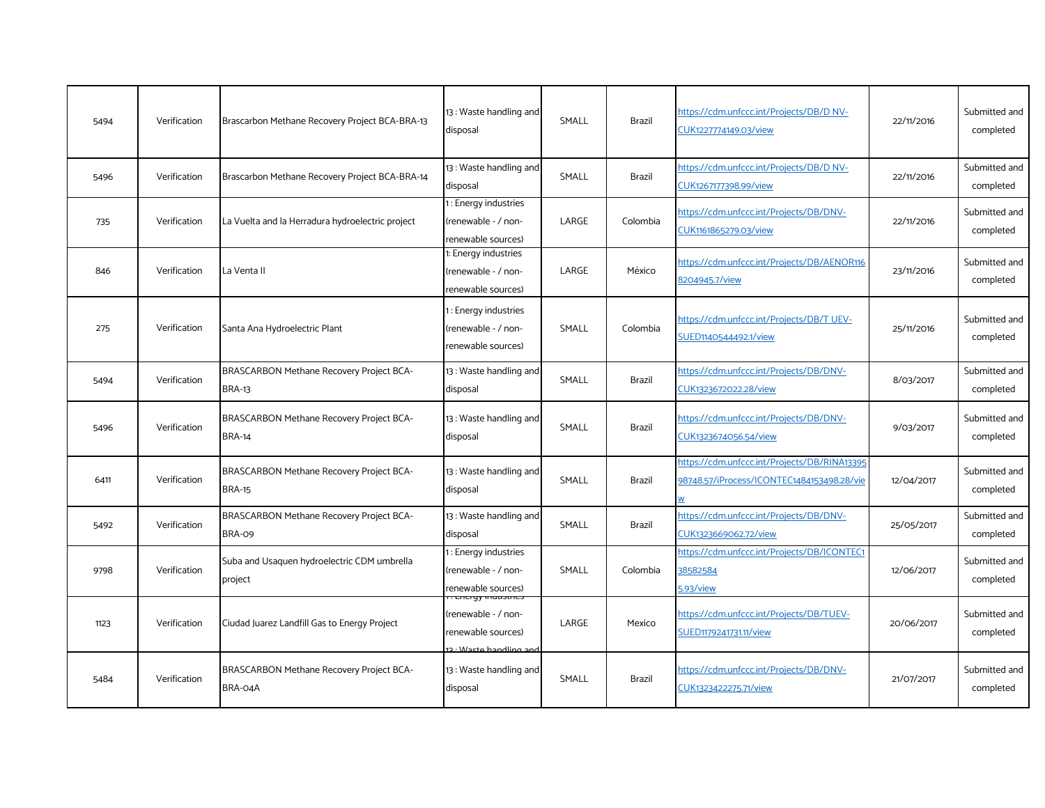| 5494 | Verification | Brascarbon Methane Recovery Project BCA-BRA-13                   | 13: Waste handling and<br>disposal                                  | SMALL | <b>Brazil</b> | https://cdm.unfccc.int/Projects/DB/D NV-<br>CUK1227774149.03/view                          | 22/11/2016 | Submitted and<br>completed |
|------|--------------|------------------------------------------------------------------|---------------------------------------------------------------------|-------|---------------|--------------------------------------------------------------------------------------------|------------|----------------------------|
| 5496 | Verification | Brascarbon Methane Recovery Project BCA-BRA-14                   | 13: Waste handling and<br>disposal                                  | SMALL | Brazil        | https://cdm.unfccc.int/Projects/DB/D NV-<br>CUK1267177398.99/view                          | 22/11/2016 | Submitted and<br>completed |
| 735  | Verification | La Vuelta and la Herradura hydroelectric project                 | 1: Energy industries<br>(renewable - / non-<br>renewable sources)   | LARGE | Colombia      | https://cdm.unfccc.int/Projects/DB/DNV-<br>CUK1161865279.03/view                           | 22/11/2016 | Submitted and<br>completed |
| 846  | Verification | La Venta II                                                      | 1: Energy industries<br>(renewable - / non-<br>renewable sources)   | LARGE | México        | https://cdm.unfccc.int/Projects/DB/AENOR116<br>8204945.7/view                              | 23/11/2016 | Submitted and<br>completed |
| 275  | Verification | Santa Ana Hydroelectric Plant                                    | : Energy industries<br>(renewable - / non-<br>renewable sources)    | SMALL | Colombia      | https://cdm.unfccc.int/Projects/DB/T UEV-<br>SUED1140544492.1/view                         | 25/11/2016 | Submitted and<br>completed |
| 5494 | Verification | <b>BRASCARBON Methane Recovery Project BCA-</b><br><b>BRA-13</b> | 13: Waste handling and<br>disposal                                  | SMALL | Brazil        | https://cdm.unfccc.int/Projects/DB/DNV-<br>CUK1323672022.28/view                           | 8/03/2017  | Submitted and<br>completed |
| 5496 | Verification | BRASCARBON Methane Recovery Project BCA-<br><b>BRA-14</b>        | 13: Waste handling and<br>disposal                                  | SMALL | <b>Brazil</b> | https://cdm.unfccc.int/Projects/DB/DNV-<br>CUK1323674056.54/view                           | 9/03/2017  | Submitted and<br>completed |
| 6411 | Verification | BRASCARBON Methane Recovery Project BCA-<br><b>BRA-15</b>        | 13: Waste handling and<br>disposal                                  | SMALL | Brazil        | https://cdm.unfccc.int/Projects/DB/RINA13395<br>98748.57/iProcess/ICONTEC1484153498.28/vie | 12/04/2017 | Submitted and<br>completed |
| 5492 | Verification | BRASCARBON Methane Recovery Project BCA-<br>BRA-09               | 13: Waste handling and<br>disposal                                  | SMALL | Brazil        | https://cdm.unfccc.int/Projects/DB/DNV-<br>CUK1323669062.72/view                           | 25/05/2017 | Submitted and<br>completed |
| 9798 | Verification | Suba and Usaquen hydroelectric CDM umbrella<br>project           | 1: Energy industries<br>(renewable - / non-<br>renewable sources)   | SMALL | Colombia      | https://cdm.unfccc.int/Projects/DB/ICONTEC1<br>38582584<br>5.93/view                       | 12/06/2017 | Submitted and<br>completed |
| 1123 | Verification | Ciudad Juarez Landfill Gas to Energy Project                     | (renewable - / non-<br>renewable sources)<br>a . Wasto bandling and | LARGE | Mexico        | https://cdm.unfccc.int/Projects/DB/TUEV-<br>SUED1179241731.11/view                         | 20/06/2017 | Submitted and<br>completed |
| 5484 | Verification | BRASCARBON Methane Recovery Project BCA-<br>BRA-04A              | 13: Waste handling and<br>disposal                                  | SMALL | <b>Brazil</b> | https://cdm.unfccc.int/Projects/DB/DNV-<br>CUK1323422275.71/view                           | 21/07/2017 | Submitted and<br>completed |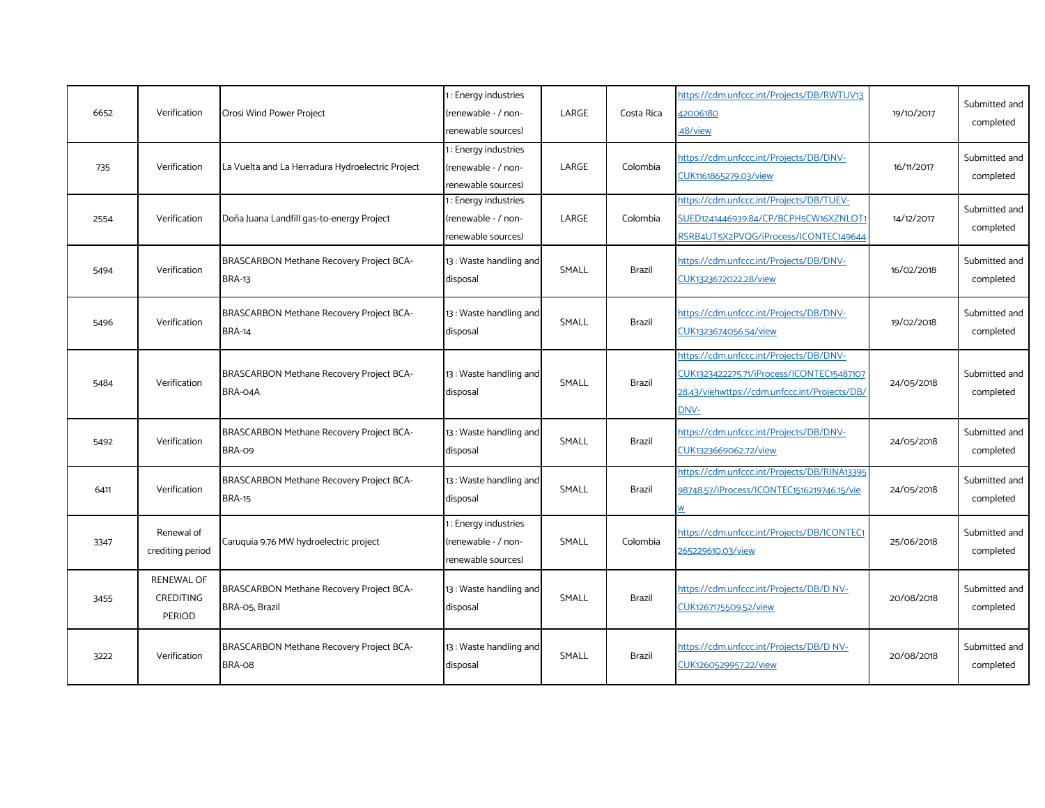| 6652 | Verification                                           | Orosi Wind Power Project                                   | : Energy industries<br>(renewable - / non-<br>renewable sources)  | LARGE | Costa Rica    | https://cdm.unfccc.int/Projects/DB/RWTUV13<br>42006180<br>48/view                                                                             | 19/10/2017 | Submitted and<br>completed |
|------|--------------------------------------------------------|------------------------------------------------------------|-------------------------------------------------------------------|-------|---------------|-----------------------------------------------------------------------------------------------------------------------------------------------|------------|----------------------------|
| 735  | Verification                                           | La Vuelta and La Herradura Hydroelectric Project           | 1: Energy industries<br>(renewable - / non-<br>renewable sources) | LARGE | Colombia      | https://cdm.unfccc.int/Projects/DB/DNV-<br>CUK1161865279.03/view                                                                              | 16/11/2017 | Submitted and<br>completed |
| 2554 | Verification                                           | Doña Juana Landfill gas-to-energy Project                  | 1: Energy industries<br>(renewable - / non-<br>renewable sources) | LARGE | Colombia      | https://cdm.unfccc.int/Projects/DB/TUEV-<br>SUED1241446939.84/CP/BCPH5CW16XZNLOT1<br>RSRB4UT5X2PVQG/iProcess/ICONTEC149644                    | 14/12/2017 | Submitted and<br>completed |
| 5494 | Verification                                           | BRASCARBON Methane Recovery Project BCA-<br><b>BRA-13</b>  | 13: Waste handling and<br>disposal                                | SMALL | Brazil        | https://cdm.unfccc.int/Projects/DB/DNV-<br>CUK1323672022.28/view                                                                              | 16/02/2018 | Submitted and<br>completed |
| 5496 | Verification                                           | BRASCARBON Methane Recovery Project BCA-<br><b>BRA-14</b>  | 13: Waste handling and<br>disposal                                | SMALL | Brazil        | https://cdm.unfccc.int/Projects/DB/DNV-<br>CUK1323674056.54/view                                                                              | 19/02/2018 | Submitted and<br>completed |
| 5484 | Verification                                           | BRASCARBON Methane Recovery Project BCA-<br>BRA-04A        | 13: Waste handling and<br>disposal                                | SMALL | <b>Brazil</b> | https://cdm.unfccc.int/Projects/DB/DNV-<br>CUK1323422275.71/iProcess/ICONTEC15487107<br>28.43/viehwttps://cdm.unfccc.int/Projects/DB/<br>DNV- | 24/05/2018 | Submitted and<br>completed |
| 5492 | Verification                                           | BRASCARBON Methane Recovery Project BCA-<br>BRA-09         | 13: Waste handling and<br>disposal                                | SMALL | Brazil        | https://cdm.unfccc.int/Projects/DB/DNV-<br>CUK1323669062.72/view                                                                              | 24/05/2018 | Submitted and<br>completed |
| 6411 | Verification                                           | BRASCARBON Methane Recovery Project BCA-<br><b>BRA-15</b>  | 13: Waste handling and<br>disposal                                | SMALL | Brazil        | https://cdm.unfccc.int/Projects/DB/RINA13395<br>98748.57/iProcess/ICONTEC1516219746.15/vie                                                    | 24/05/2018 | Submitted and<br>completed |
| 3347 | Renewal of<br>crediting period                         | Caruquia 9.76 MW hydroelectric project                     | : Energy industries<br>(renewable - / non-<br>renewable sources)  | SMALL | Colombia      | https://cdm.unfccc.int/Projects/DB/ICONTEC1<br>265229610.03/view                                                                              | 25/06/2018 | Submitted and<br>completed |
| 3455 | <b>RENEWAL OF</b><br><b>CREDITING</b><br><b>PERIOD</b> | BRASCARBON Methane Recovery Project BCA-<br>BRA-05, Brazil | 13: Waste handling and<br>disposal                                | SMALL | Brazil        | https://cdm.unfccc.int/Projects/DB/D NV-<br>CUK1267175509.52/view                                                                             | 20/08/2018 | Submitted and<br>completed |
| 3222 | Verification                                           | BRASCARBON Methane Recovery Project BCA-<br>BRA-08         | 13: Waste handling and<br>disposal                                | SMALL | <b>Brazil</b> | https://cdm.unfccc.int/Projects/DB/D NV-<br>CUK1260529957.22/view                                                                             | 20/08/2018 | Submitted and<br>completed |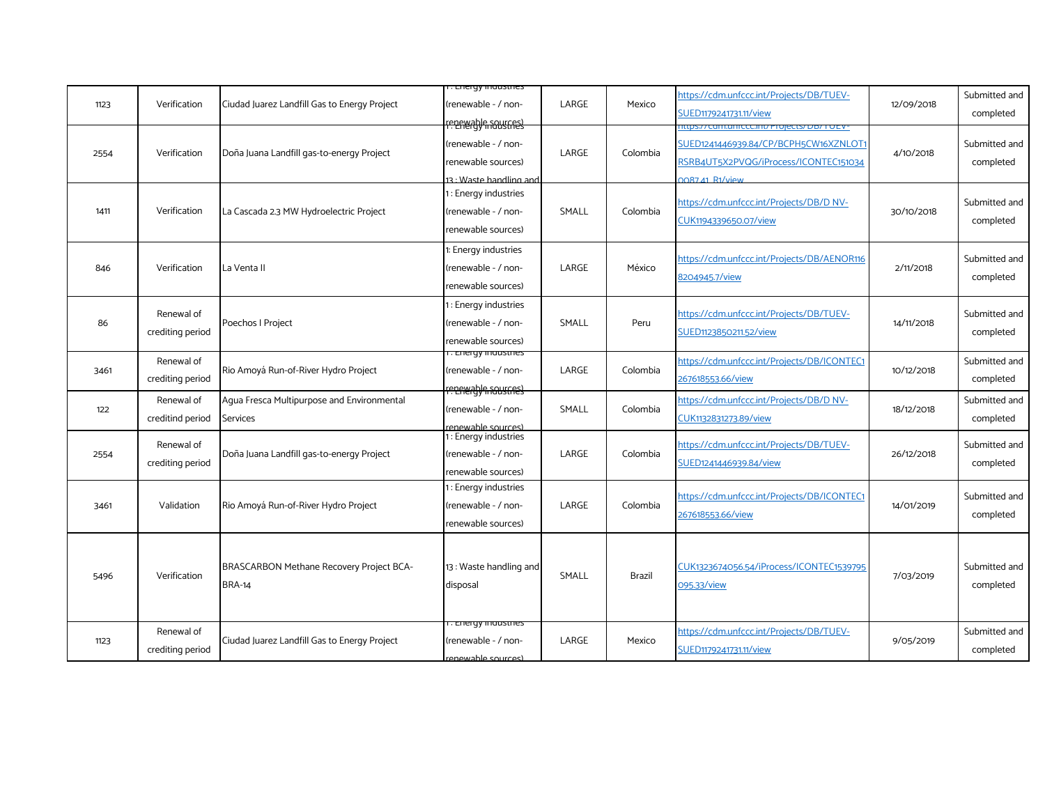|      |                  |                                              | r <del>. Lilergy muusules</del>           |       |          |                                                                    |            |                            |
|------|------------------|----------------------------------------------|-------------------------------------------|-------|----------|--------------------------------------------------------------------|------------|----------------------------|
| 1123 | Verification     | Ciudad Juarez Landfill Gas to Energy Project | renewable - / non-                        | LARGE | Mexico   | https://cdm.unfccc.int/Projects/DB/TUEV-<br>SUED1179241731.11/view | 12/09/2018 | Submitted and<br>completed |
|      |                  |                                              | <u>renewable sources)</u>                 |       |          |                                                                    |            |                            |
|      | Verification     |                                              | renewable - / non-                        | LARGE | Colombia | SUED1241446939.84/CP/BCPH5CW16XZNLOT1                              |            | Submitted and              |
| 2554 |                  | Doña Juana Landfill gas-to-energy Project    | renewable sources)                        |       |          | RSRB4UT5X2PVQG/iProcess/ICONTEC151034                              | 4/10/2018  | completed                  |
|      |                  |                                              | 3 · Waste handling and                    |       |          | <b>0087 41 R1/view</b>                                             |            |                            |
|      |                  |                                              | : Energy industries                       |       |          |                                                                    |            |                            |
| 1411 | Verification     | La Cascada 2.3 MW Hydroelectric Project      | (renewable - / non-                       | SMALL | Colombia | https://cdm.unfccc.int/Projects/DB/D NV-                           | 30/10/2018 | Submitted and              |
|      |                  |                                              | renewable sources)                        |       |          | CUK1194339650.07/view                                              |            | completed                  |
|      |                  |                                              | 1: Energy industries                      |       |          |                                                                    |            |                            |
| 846  | Verification     | La Venta II                                  | renewable - / non-                        | LARGE | México   | https://cdm.unfccc.int/Projects/DB/AENOR116                        | 2/11/2018  | Submitted and              |
|      |                  |                                              | renewable sources)                        |       |          | 8204945.7/view                                                     |            | completed                  |
|      |                  |                                              | 1: Energy industries                      |       |          |                                                                    |            |                            |
| 86   | Renewal of       | Poechos I Project                            | renewable - / non-                        | SMALL | Peru     | https://cdm.unfccc.int/Projects/DB/TUEV-                           | 14/11/2018 | Submitted and              |
|      | crediting period |                                              | renewable sources)                        |       |          | SUED1123850211.52/view                                             |            | completed                  |
|      |                  |                                              | i . Energy inidustries                    |       |          |                                                                    |            |                            |
| 3461 | Renewal of       | Rio Amoyá Run-of-River Hydro Project         | renewable - / non-                        | LARGE | Colombia | https://cdm.unfccc.int/Projects/DB/ICONTEC1                        | 10/12/2018 | Submitted and              |
|      | crediting period |                                              | renewable sources                         |       |          | 267618553.66/view                                                  |            | completed                  |
|      | Renewal of       | Aqua Fresca Multipurpose and Environmental   |                                           |       |          | https://cdm.unfccc.int/Projects/DB/D NV-                           |            | Submitted and              |
| 122  | creditind period | Services                                     | (renewable - / non-                       | SMALL | Colombia | CUK1132831273.89/view                                              | 18/12/2018 | completed                  |
|      |                  |                                              | enewable sources)<br>1: Energy industries |       |          |                                                                    |            |                            |
| 2554 | Renewal of       | Doña Juana Landfill gas-to-energy Project    | renewable - / non-                        | LARGE | Colombia | https://cdm.unfccc.int/Projects/DB/TUEV-                           | 26/12/2018 | Submitted and              |
|      | crediting period |                                              | renewable sources)                        |       |          | SUED1241446939.84/view                                             |            | completed                  |
|      |                  |                                              | 1: Energy industries                      |       |          |                                                                    |            |                            |
| 3461 | Validation       | Rio Amoyá Run-of-River Hydro Project         | (renewable - / non-                       | LARGE | Colombia | https://cdm.unfccc.int/Projects/DB/ICONTEC1                        | 14/01/2019 | Submitted and              |
|      |                  |                                              | renewable sources)                        |       |          | 267618553.66/view                                                  |            | completed                  |
|      |                  |                                              |                                           |       |          |                                                                    |            |                            |
|      |                  |                                              |                                           |       |          |                                                                    |            |                            |
| 5496 | Verification     | BRASCARBON Methane Recovery Project BCA-     | 13: Waste handling and                    | SMALL | Brazil   | CUK1323674056.54/iProcess/ICONTEC1539795                           | 7/03/2019  | Submitted and              |
|      |                  | <b>BRA-14</b>                                | disposal                                  |       |          | 095.33/view                                                        |            | completed                  |
|      |                  |                                              |                                           |       |          |                                                                    |            |                            |
|      | Renewal of       |                                              | r. Energy muusules                        |       |          | https://cdm.unfccc.int/Projects/DB/TUEV-                           |            | Submitted and              |
| 1123 |                  | Ciudad Juarez Landfill Gas to Energy Project | renewable - / non-                        | LARGE | Mexico   |                                                                    | 9/05/2019  |                            |
|      | crediting period |                                              | renewable sources)                        |       |          | SUED1179241731.11/view                                             |            | completed                  |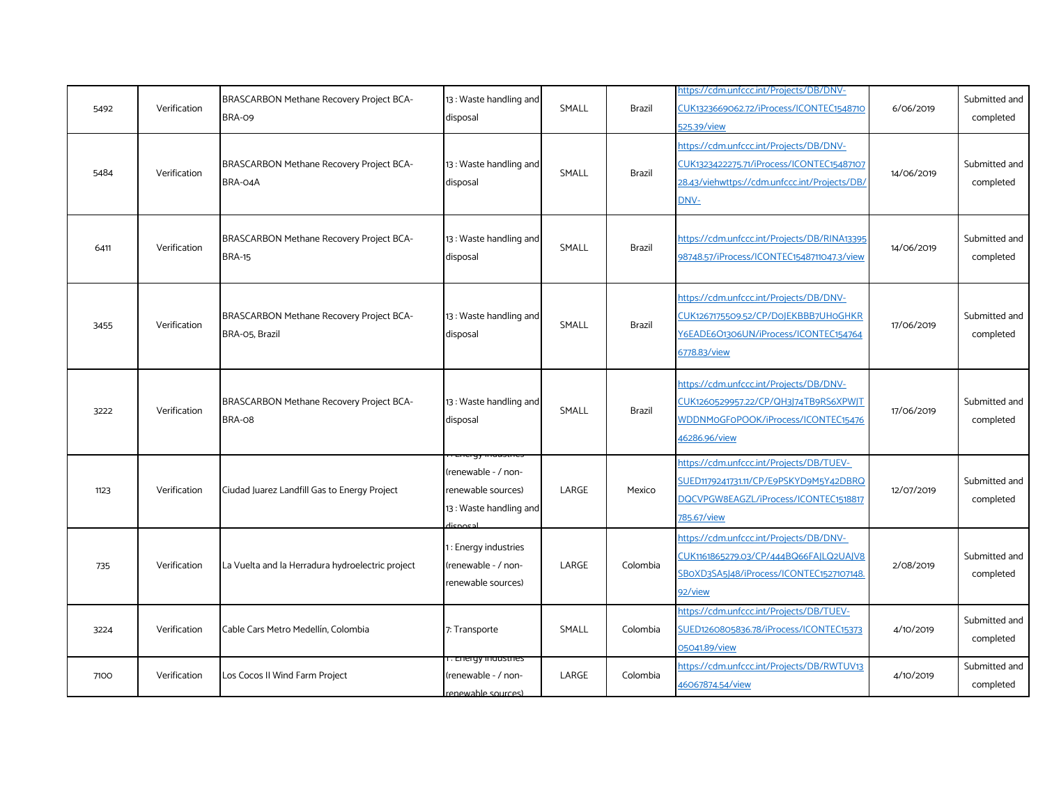| 5492 | Verification | BRASCARBON Methane Recovery Project BCA-<br>BRA-09                | 13: Waste handling and<br>disposal                                             | SMALL | Brazil        | https://cdm.unfccc.int/Projects/DB/DNV-<br>CUK1323669062.72/iProcess/ICONTEC1548710<br>525.39/view                                            | 6/06/2019  | Submitted and<br>completed |
|------|--------------|-------------------------------------------------------------------|--------------------------------------------------------------------------------|-------|---------------|-----------------------------------------------------------------------------------------------------------------------------------------------|------------|----------------------------|
| 5484 | Verification | BRASCARBON Methane Recovery Project BCA-<br>BRA-04A               | 13: Waste handling and<br>disposal                                             | SMALL | Brazil        | https://cdm.unfccc.int/Projects/DB/DNV-<br>CUK1323422275.71/iProcess/ICONTEC15487107<br>28.43/viehwttps://cdm.unfccc.int/Projects/DB/<br>DNV- | 14/06/2019 | Submitted and<br>completed |
| 6411 | Verification | BRASCARBON Methane Recovery Project BCA-<br><b>BRA-15</b>         | 13: Waste handling and<br>disposal                                             | SMALL | <b>Brazil</b> | https://cdm.unfccc.int/Projects/DB/RINA13395<br>98748.57/iProcess/ICONTEC1548711047.3/view                                                    | 14/06/2019 | Submitted and<br>completed |
| 3455 | Verification | <b>BRASCARBON Methane Recovery Project BCA-</b><br>BRA-05, Brazil | 13: Waste handling and<br>disposal                                             | SMALL | Brazil        | https://cdm.unfccc.int/Projects/DB/DNV-<br>CUK1267175509.52/CP/D0JEKBBB7UH0GHKR<br>Y6EADE6O1306UN/iProcess/ICONTEC154764<br>6778.83/view      | 17/06/2019 | Submitted and<br>completed |
| 3222 | Verification | BRASCARBON Methane Recovery Project BCA-<br>BRA-08                | 13: Waste handling and<br>disposal                                             | SMALL | Brazil        | https://cdm.unfccc.int/Projects/DB/DNV-<br>CUK1260529957.22/CP/QH3J74TB9RS6XPWJT<br>WDDNMoGFoPOOK/iProcess/ICONTEC15476<br>46286.96/view      | 17/06/2019 | Submitted and<br>completed |
| 1123 | Verification | Ciudad Juarez Landfill Gas to Energy Project                      | renewable - / non-<br>renewable sources)<br>13: Waste handling and<br>dicnocal | LARGE | Mexico        | https://cdm.unfccc.int/Projects/DB/TUEV-<br>SUED1179241731.11/CP/E9PSKYD9M5Y42DBRQ<br>DQCVPGW8EAGZL/iProcess/ICONTEC1518817<br>785.67/view    | 12/07/2019 | Submitted and<br>completed |
| 735  | Verification | La Vuelta and la Herradura hydroelectric project                  | 1: Energy industries<br>renewable - / non-<br>renewable sources)               | LARGE | Colombia      | https://cdm.unfccc.int/Projects/DB/DNV-<br>CUK1161865279.03/CP/444BQ66FAJLQ2UAJV8<br>SBoXD3SA5J48/iProcess/ICONTEC1527107148.<br>92/view      | 2/08/2019  | Submitted and<br>completed |
| 3224 | Verification | Cable Cars Metro Medellín, Colombia                               | 7: Transporte                                                                  | SMALL | Colombia      | https://cdm.unfccc.int/Projects/DB/TUEV-<br>SUED1260805836.78/iProcess/ICONTEC15373<br>05041.89/view                                          | 4/10/2019  | Submitted and<br>completed |
| 7100 | Verification | Los Cocos II Wind Farm Project                                    | <del>r. Lhergy muusules</del><br>renewable - / non-<br>renewable sources)      | LARGE | Colombia      | https://cdm.unfccc.int/Projects/DB/RWTUV13<br>46067874.54/view                                                                                | 4/10/2019  | Submitted and<br>completed |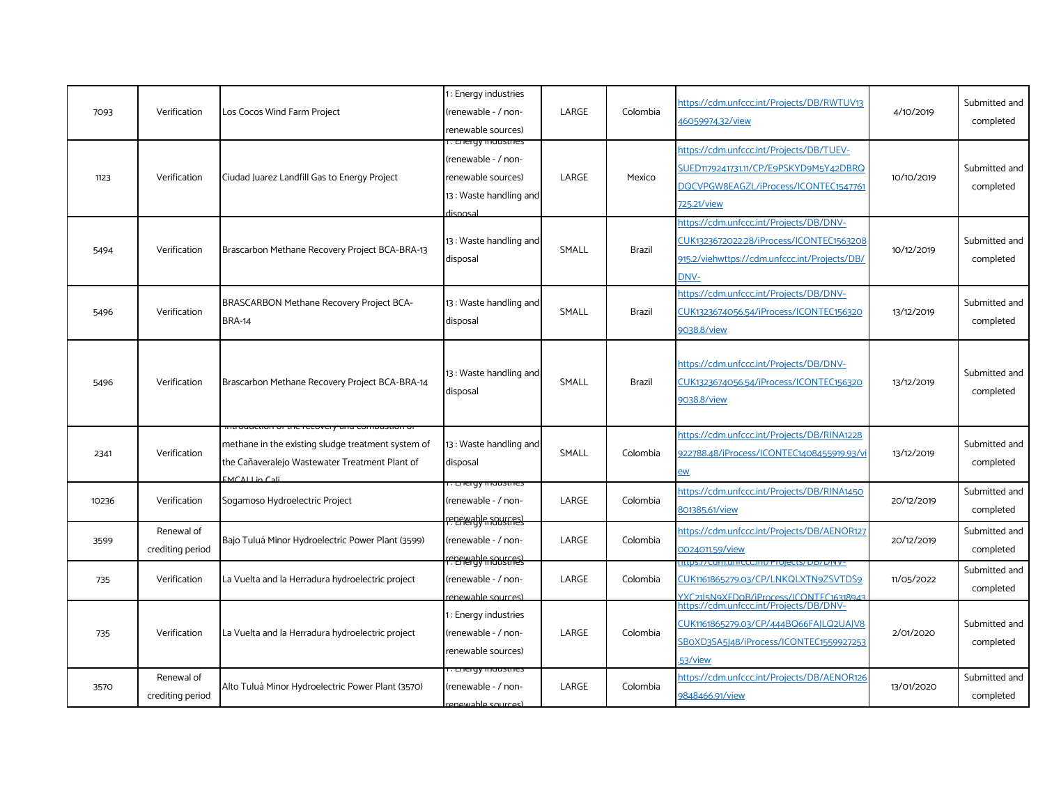| 7093  | Verification                   | Los Cocos Wind Farm Project                                                                                                                                            | : Energy industries<br>(renewable - / non-<br>renewable sources)                                     | LARGE | Colombia      | https://cdm.unfccc.int/Projects/DB/RWTUV13<br>46059974.32/view                                                                               | 4/10/2019  | Submitted and<br>completed |
|-------|--------------------------------|------------------------------------------------------------------------------------------------------------------------------------------------------------------------|------------------------------------------------------------------------------------------------------|-------|---------------|----------------------------------------------------------------------------------------------------------------------------------------------|------------|----------------------------|
| 1123  | Verification                   | Ciudad Juarez Landfill Gas to Energy Project                                                                                                                           | . Energy mausures<br>(renewable - / non-<br>renewable sources)<br>13: Waste handling and<br>disposal | LARGE | Mexico        | https://cdm.unfccc.int/Projects/DB/TUEV-<br>SUED1179241731.11/CP/E9PSKYD9M5Y42DBRQ<br>DQCVPGW8EAGZL/iProcess/ICONTEC1547761<br>725.21/view   | 10/10/2019 | Submitted and<br>completed |
| 5494  | Verification                   | Brascarbon Methane Recovery Project BCA-BRA-13                                                                                                                         | 13: Waste handling and<br>disposal                                                                   | SMALL | Brazil        | https://cdm.unfccc.int/Projects/DB/DNV-<br>CUK1323672022.28/iProcess/ICONTEC1563208<br>915.2/viehwttps://cdm.unfccc.int/Projects/DB/<br>DNV- | 10/12/2019 | Submitted and<br>completed |
| 5496  | Verification                   | BRASCARBON Methane Recovery Project BCA-<br><b>BRA-14</b>                                                                                                              | 13: Waste handling and<br>disposal                                                                   | SMALL | <b>Brazil</b> | https://cdm.unfccc.int/Projects/DB/DNV-<br>CUK1323674056.54/iProcess/ICONTEC156320<br>9038.8/view                                            | 13/12/2019 | Submitted and<br>completed |
| 5496  | Verification                   | Brascarbon Methane Recovery Project BCA-BRA-14                                                                                                                         | 13 : Waste handling and<br>disposal                                                                  | SMALL | <b>Brazil</b> | https://cdm.unfccc.int/Projects/DB/DNV-<br>CUK1323674056.54/iProcess/ICONTEC156320<br>9038.8/view                                            | 13/12/2019 | Submitted and<br>completed |
| 2341  | Verification                   | ππισααστιση σητής τουνοηγ από compustion (<br>methane in the existing sludge treatment system of<br>the Cañaveralejo Wastewater Treatment Plant of<br>$EMCAL$ Lin Cali | 13: Waste handling and<br>disposal                                                                   | SMALL | Colombia      | https://cdm.unfccc.int/Projects/DB/RINA1228<br>922788.48/iProcess/ICONTEC1408455919.93/vi<br>ew                                              | 13/12/2019 | Submitted and<br>completed |
| 10236 | Verification                   | Sogamoso Hydroelectric Project                                                                                                                                         | . Energy muusules<br>(renewable - / non-<br>reneren ble sources                                      | LARGE | Colombia      | https://cdm.unfccc.int/Projects/DB/RINA1450<br>801385.61/view                                                                                | 20/12/2019 | Submitted and<br>completed |
| 3599  | Renewal of<br>crediting period | Bajo Tuluá Minor Hydroelectric Power Plant (3599)                                                                                                                      | (renewable - / non-                                                                                  | LARGE | Colombia      | https://cdm.unfccc.int/Projects/DB/AENOR127<br>0024011.59/view                                                                               | 20/12/2019 | Submitted and<br>completed |
| 735   | Verification                   | La Vuelta and la Herradura hydroelectric project                                                                                                                       | reneredy may serve the<br>(renewable - / non-<br>renewable sources)                                  | LARGE | Colombia      | <u> III CCCIITIV PTOJECtS/ DD/ DINVE</u><br>CUK1161865279.03/CP/LNKQLXTN9ZSVTDS9<br>YXC2115NqXEDQR/iProcess/ICONTEC1631894                   | 11/05/2022 | Submitted and<br>completed |
| 735   | Verification                   | La Vuelta and la Herradura hydroelectric project                                                                                                                       | 1: Energy industries<br>(renewable - / non-<br>renewable sources)                                    | LARGE | Colombia      | https://cdm.unfccc.int/Projects/DB/DNV-<br>CUK1161865279.03/CP/444BQ66FAJLQ2UAJV8<br>SBOXD3SA5J48/iProcess/ICONTEC1559927253<br>53/view      | 2/01/2020  | Submitted and<br>completed |
| 3570  | Renewal of<br>crediting period | Alto Tuluá Minor Hydroelectric Power Plant (3570)                                                                                                                      | i . Energy industries<br>(renewable - / non-<br>renewable sources)                                   | LARGE | Colombia      | https://cdm.unfccc.int/Projects/DB/AENOR126<br>9848466.91/view                                                                               | 13/01/2020 | Submitted and<br>completed |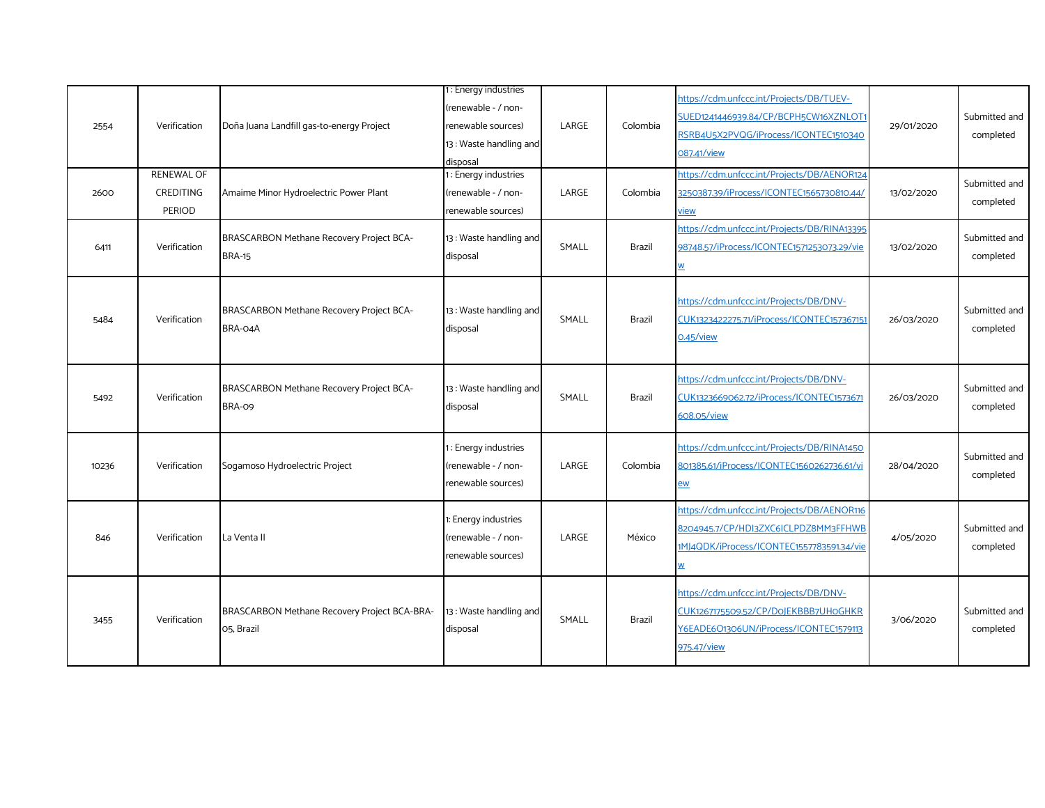| 2554  | Verification<br><b>RENEWAL OF</b> | Doña Juana Landfill gas-to-energy Project                  | 1: Energy industries<br>(renewable - / non-<br>renewable sources)<br>13: Waste handling and<br>disposal<br>1: Energy industries | LARGE | Colombia      | https://cdm.unfccc.int/Projects/DB/TUEV-<br>SUED1241446939.84/CP/BCPH5CW16XZNLOT<br>RSRB4U5X2PVQG/iProcess/ICONTEC1510340<br>087.41/view<br>https://cdm.unfccc.int/Projects/DB/AENOR124 | 29/01/2020 | Submitted and<br>completed |
|-------|-----------------------------------|------------------------------------------------------------|---------------------------------------------------------------------------------------------------------------------------------|-------|---------------|-----------------------------------------------------------------------------------------------------------------------------------------------------------------------------------------|------------|----------------------------|
| 2600  | CREDITING<br><b>PERIOD</b>        | Amaime Minor Hydroelectric Power Plant                     | (renewable - / non-<br>renewable sources)                                                                                       | LARGE | Colombia      | 3250387.39/iProcess/ICONTEC1565730810.44/<br>view                                                                                                                                       | 13/02/2020 | Submitted and<br>completed |
| 6411  | Verification                      | BRASCARBON Methane Recovery Project BCA-<br><b>BRA-15</b>  | 13: Waste handling and<br>disposal                                                                                              | SMALL | Brazil        | https://cdm.unfccc.int/Projects/DB/RINA13395<br>98748.57/iProcess/ICONTEC1571253073.29/vie<br>W                                                                                         | 13/02/2020 | Submitted and<br>completed |
| 5484  | Verification                      | BRASCARBON Methane Recovery Project BCA-<br>BRA-04A        | 13: Waste handling and<br>disposal                                                                                              | SMALL | Brazil        | https://cdm.unfccc.int/Projects/DB/DNV-<br>CUK1323422275.71/iProcess/ICONTEC157367151<br>0.45/view                                                                                      | 26/03/2020 | Submitted and<br>completed |
| 5492  | Verification                      | BRASCARBON Methane Recovery Project BCA-<br>BRA-09         | 13: Waste handling and<br>disposal                                                                                              | SMALL | <b>Brazil</b> | https://cdm.unfccc.int/Projects/DB/DNV-<br>CUK1323669062.72/iProcess/ICONTEC1573671<br>608.05/view                                                                                      | 26/03/2020 | Submitted and<br>completed |
| 10236 | Verification                      | Sogamoso Hydroelectric Project                             | 1: Energy industries<br>(renewable - / non-<br>renewable sources)                                                               | LARGE | Colombia      | https://cdm.unfccc.int/Projects/DB/RINA1450<br>801385.61/iProcess/ICONTEC1560262736.61/vi<br>ew                                                                                         | 28/04/2020 | Submitted and<br>completed |
| 846   | Verification                      | La Venta II                                                | 1: Energy industries<br>renewable - / non-<br>renewable sources)                                                                | LARGE | México        | https://cdm.unfccc.int/Projects/DB/AENOR116<br>8204945.7/CP/HDI3ZXC6ICLPDZ8MM3FFHWB<br>1MJ4QDK/iProcess/ICONTEC1557783591.34/vie<br>W                                                   | 4/05/2020  | Submitted and<br>completed |
| 3455  | Verification                      | BRASCARBON Methane Recovery Project BCA-BRA-<br>05, Brazil | 13 : Waste handling and<br>disposal                                                                                             | SMALL | Brazil        | https://cdm.unfccc.int/Projects/DB/DNV-<br>CUK1267175509.52/CP/D0JEKBBB7UH0GHKR<br>Y6EADE6O1306UN/iProcess/ICONTEC1579113<br>975.47/view                                                | 3/06/2020  | Submitted and<br>completed |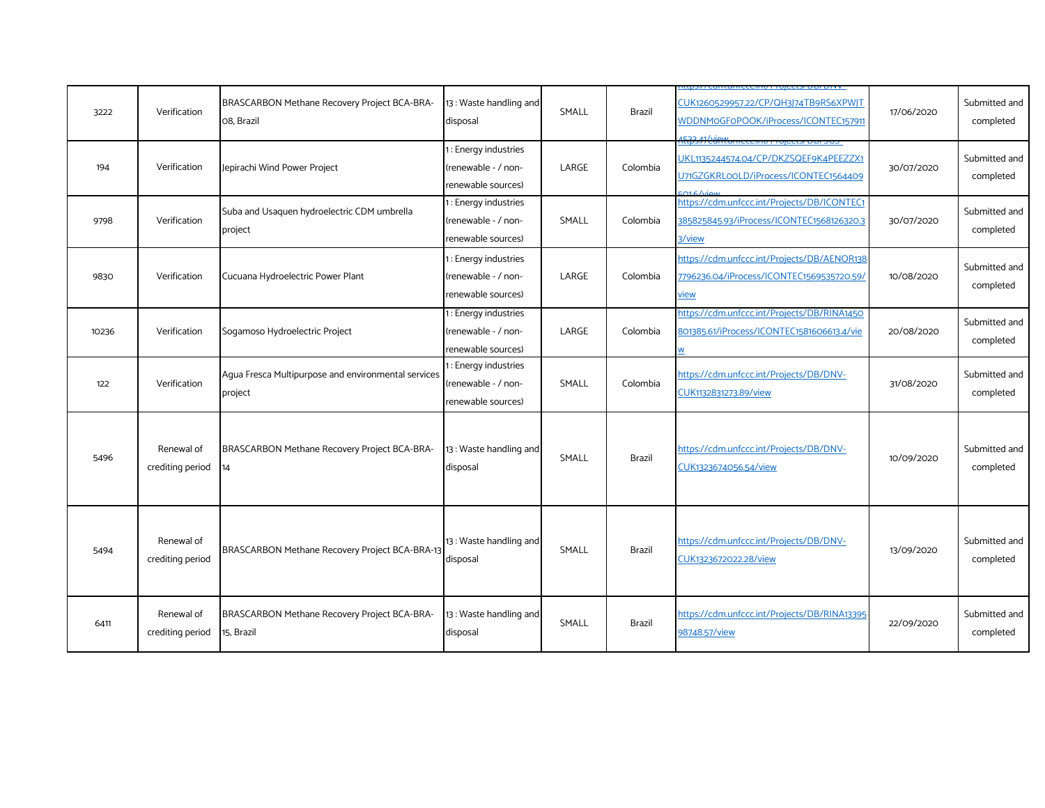| 3222  | Verification                   | BRASCARBON Methane Recovery Project BCA-BRA-<br>08, Brazil     | 13: Waste handling and<br>disposal                                | SMALL | <b>Brazil</b> | CUK1260529957.22/CP/QH3J74TB9RS6XPWJT<br>WDDNMoGFoPOOK/iProcess/ICONTEC157911<br><u> 2007-01/http://winter.com/winter.com/html</u> | 17/06/2020 | Submitted and<br>completed |
|-------|--------------------------------|----------------------------------------------------------------|-------------------------------------------------------------------|-------|---------------|------------------------------------------------------------------------------------------------------------------------------------|------------|----------------------------|
| 194   | Verification                   | Jepirachi Wind Power Project                                   | 1: Energy industries<br>(renewable - / non-<br>renewable sources) | LARGE | Colombia      | UKL1135244574.04/CP/DKZSQEF9K4PEEZZX1<br>U71GZGKRLooLD/iProcess/ICONTEC1564409<br>$O16$ / $N$ aw                                   | 30/07/2020 | Submitted and<br>completed |
| 9798  | Verification                   | Suba and Usaquen hydroelectric CDM umbrella<br>project         | 1: Energy industries<br>(renewable - / non-<br>renewable sources) | SMALL | Colombia      | https://cdm.unfccc.int/Projects/DB/ICONTEC1<br>385825845.93/iProcess/ICONTEC1568126320.3<br>3/view                                 | 30/07/2020 | Submitted and<br>completed |
| 9830  | Verification                   | Cucuana Hydroelectric Power Plant                              | 1: Energy industries<br>(renewable - / non-<br>renewable sources) | LARGE | Colombia      | https://cdm.unfccc.int/Projects/DB/AENOR138<br>7796236.04/iProcess/ICONTEC1569535720.59/<br><u>view</u>                            | 10/08/2020 | Submitted and<br>completed |
| 10236 | Verification                   | Sogamoso Hydroelectric Project                                 | 1: Energy industries<br>(renewable - / non-<br>renewable sources) | LARGE | Colombia      | https://cdm.unfccc.int/Projects/DB/RINA1450<br>801385.61/iProcess/ICONTEC1581606613.4/vie                                          | 20/08/2020 | Submitted and<br>completed |
| 122   | Verification                   | Agua Fresca Multipurpose and environmental services<br>project | 1: Energy industries<br>(renewable - / non-<br>renewable sources) | SMALL | Colombia      | https://cdm.unfccc.int/Projects/DB/DNV-<br>CUK1132831273.89/view                                                                   | 31/08/2020 | Submitted and<br>completed |
| 5496  | Renewal of<br>crediting period | BRASCARBON Methane Recovery Project BCA-BRA-<br>14             | 13: Waste handling and<br>disposal                                | SMALL | <b>Brazil</b> | https://cdm.unfccc.int/Projects/DB/DNV-<br>CUK1323674056.54/view                                                                   | 10/09/2020 | Submitted and<br>completed |
| 5494  | Renewal of<br>crediting period | BRASCARBON Methane Recovery Project BCA-BRA-13                 | 13: Waste handling and<br>disposal                                | SMALL | Brazil        | https://cdm.unfccc.int/Projects/DB/DNV-<br>CUK1323672022.28/view                                                                   | 13/09/2020 | Submitted and<br>completed |
| 6411  | Renewal of<br>crediting period | BRASCARBON Methane Recovery Project BCA-BRA-<br>15, Brazil     | 13: Waste handling and<br>disposal                                | SMALL | <b>Brazil</b> | https://cdm.unfccc.int/Projects/DB/RINA13395<br>98748.57/view                                                                      | 22/09/2020 | Submitted and<br>completed |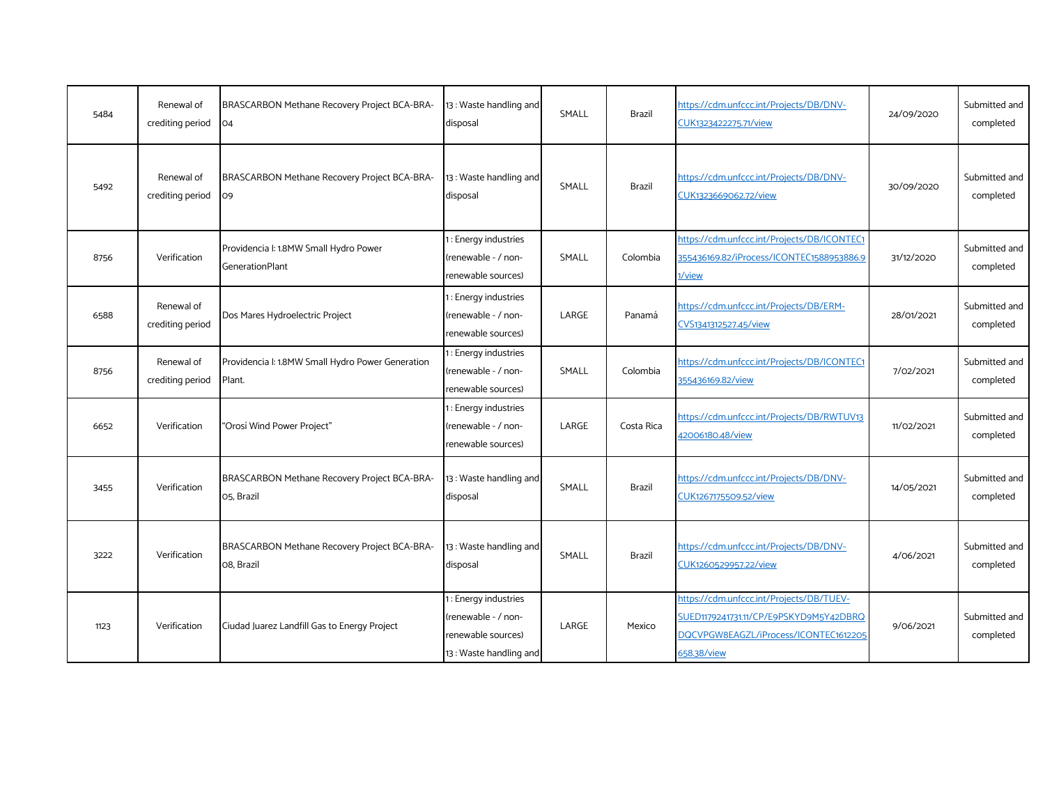| 5484 | Renewal of<br>crediting period | BRASCARBON Methane Recovery Project BCA-BRA-<br>04               | 13 : Waste handling and<br>disposal                                                        | SMALL | Brazil        | https://cdm.unfccc.int/Projects/DB/DNV-<br>CUK1323422275.71/view                                                                           | 24/09/2020 | Submitted and<br>completed |
|------|--------------------------------|------------------------------------------------------------------|--------------------------------------------------------------------------------------------|-------|---------------|--------------------------------------------------------------------------------------------------------------------------------------------|------------|----------------------------|
| 5492 | Renewal of<br>crediting period | BRASCARBON Methane Recovery Project BCA-BRA-<br>O <sub>9</sub>   | 13: Waste handling and<br>disposal                                                         | SMALL | <b>Brazil</b> | https://cdm.unfccc.int/Projects/DB/DNV-<br>CUK1323669062.72/view                                                                           | 30/09/2020 | Submitted and<br>completed |
| 8756 | Verification                   | Providencia I: 1.8MW Small Hydro Power<br><b>GenerationPlant</b> | : Energy industries<br>(renewable - / non-<br>renewable sources)                           | SMALL | Colombia      | https://cdm.unfccc.int/Projects/DB/ICONTEC1<br>355436169.82/iProcess/ICONTEC1588953886.9<br>1/view                                         | 31/12/2020 | Submitted and<br>completed |
| 6588 | Renewal of<br>crediting period | Dos Mares Hydroelectric Project                                  | : Energy industries<br>(renewable - / non-<br>renewable sources)                           | LARGE | Panamá        | https://cdm.unfccc.int/Projects/DB/ERM-<br>CVS1341312527.45/view                                                                           | 28/01/2021 | Submitted and<br>completed |
| 8756 | Renewal of<br>crediting period | Providencia I: 1.8MW Small Hydro Power Generation<br>Plant.      | : Energy industries<br>(renewable - / non-<br>renewable sources)                           | SMALL | Colombia      | https://cdm.unfccc.int/Projects/DB/ICONTEC1<br>355436169.82/view                                                                           | 7/02/2021  | Submitted and<br>completed |
| 6652 | Verification                   | "Orosí Wind Power Project"                                       | : Energy industries<br>(renewable - / non-<br>renewable sources)                           | LARGE | Costa Rica    | https://cdm.unfccc.int/Projects/DB/RWTUV13<br>42006180.48/view                                                                             | 11/02/2021 | Submitted and<br>completed |
| 3455 | Verification                   | BRASCARBON Methane Recovery Project BCA-BRA-<br>O5, Brazil       | 13: Waste handling and<br>disposal                                                         | SMALL | <b>Brazil</b> | https://cdm.unfccc.int/Projects/DB/DNV-<br>CUK1267175509.52/view                                                                           | 14/05/2021 | Submitted and<br>completed |
| 3222 | Verification                   | BRASCARBON Methane Recovery Project BCA-BRA-<br>O8. Brazil       | 13: Waste handling and<br>disposal                                                         | SMALL | <b>Brazil</b> | https://cdm.unfccc.int/Projects/DB/DNV-<br>CUK1260529957.22/view                                                                           | 4/06/2021  | Submitted and<br>completed |
| 1123 | Verification                   | Ciudad Juarez Landfill Gas to Energy Project                     | : Energy industries<br>(renewable - / non-<br>renewable sources)<br>13: Waste handling and | LARGE | Mexico        | https://cdm.unfccc.int/Projects/DB/TUEV-<br>SUED1179241731.11/CP/E9PSKYD9M5Y42DBRQ<br>DQCVPGW8EAGZL/iProcess/ICONTEC1612205<br>658.38/view | 9/06/2021  | Submitted and<br>completed |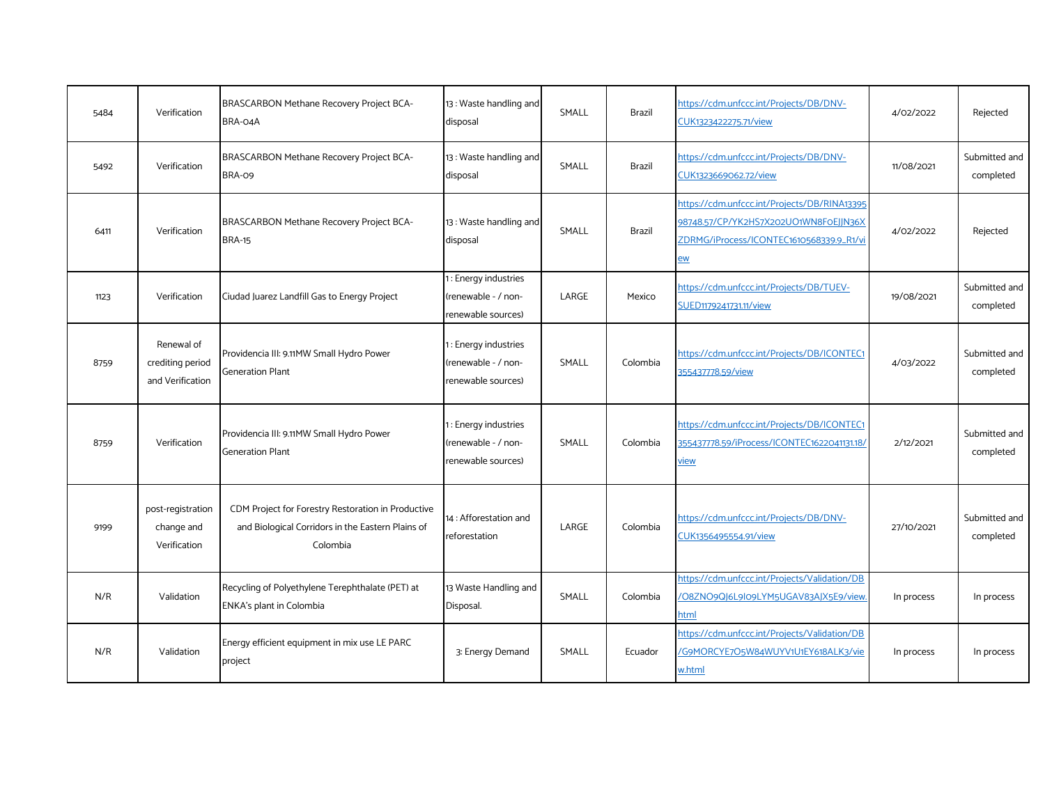| 5484 | Verification                                       | BRASCARBON Methane Recovery Project BCA-<br>BRA-04A                                                                 | 13: Waste handling and<br>disposal                                | SMALL | Brazil        | https://cdm.unfccc.int/Projects/DB/DNV-<br>CUK1323422275.71/view                                                                               | 4/02/2022  | Rejected                   |
|------|----------------------------------------------------|---------------------------------------------------------------------------------------------------------------------|-------------------------------------------------------------------|-------|---------------|------------------------------------------------------------------------------------------------------------------------------------------------|------------|----------------------------|
| 5492 | Verification                                       | BRASCARBON Methane Recovery Project BCA-<br><b>BRA-09</b>                                                           | 13: Waste handling and<br>disposal                                | SMALL | <b>Brazil</b> | https://cdm.unfccc.int/Projects/DB/DNV-<br>CUK1323669062.72/view                                                                               | 11/08/2021 | Submitted and<br>completed |
| 6411 | Verification                                       | BRASCARBON Methane Recovery Project BCA-<br><b>BRA-15</b>                                                           | 13: Waste handling and<br>disposal                                | SMALL | Brazil        | https://cdm.unfccc.int/Projects/DB/RINA13395<br>98748.57/CP/YK2HS7X202UO1WN8F0EJJN36X<br>ZDRMG/iProcess/ICONTEC1610568339.9_R1/vi<br><u>ew</u> | 4/02/2022  | Rejected                   |
| 1123 | Verification                                       | Ciudad Juarez Landfill Gas to Energy Project                                                                        | 1: Energy industries<br>(renewable - / non-<br>renewable sources) | LARGE | Mexico        | https://cdm.unfccc.int/Projects/DB/TUEV-<br>SUED1179241731.11/view                                                                             | 19/08/2021 | Submitted and<br>completed |
| 8759 | Renewal of<br>crediting period<br>and Verification | Providencia III: 9.11MW Small Hydro Power<br><b>Generation Plant</b>                                                | 1: Energy industries<br>(renewable - / non-<br>renewable sources) | SMALL | Colombia      | https://cdm.unfccc.int/Projects/DB/ICONTEC1<br>355437778.59/view                                                                               | 4/03/2022  | Submitted and<br>completed |
| 8759 | Verification                                       | Providencia III: 9.11MW Small Hydro Power<br><b>Generation Plant</b>                                                | 1: Energy industries<br>(renewable - / non-<br>renewable sources) | SMALL | Colombia      | https://cdm.unfccc.int/Projects/DB/ICONTEC1<br>355437778.59/iProcess/ICONTEC1622041131.18/<br><u>view</u>                                      | 2/12/2021  | Submitted and<br>completed |
| 9199 | post-registration<br>change and<br>Verification    | CDM Project for Forestry Restoration in Productive<br>and Biological Corridors in the Eastern Plains of<br>Colombia | 14 : Afforestation and<br>reforestation                           | LARGE | Colombia      | https://cdm.unfccc.int/Projects/DB/DNV-<br>CUK1356495554.91/view                                                                               | 27/10/2021 | Submitted and<br>completed |
| N/R  | Validation                                         | Recycling of Polyethylene Terephthalate (PET) at<br>ENKA's plant in Colombia                                        | 13 Waste Handling and<br>Disposal.                                | SMALL | Colombia      | https://cdm.unfccc.int/Projects/Validation/DB<br>/O8ZNO9QJ6L9I09LYM5UGAV83AJX5E9/view<br><u>html</u>                                           | In process | In process                 |
| N/R  | Validation                                         | Energy efficient equipment in mix use LE PARC<br>project                                                            | 3: Energy Demand                                                  | SMALL | Ecuador       | https://cdm.unfccc.int/Projects/Validation/DB<br>/G9MORCYE7O5W84WUYV1U1EY618ALK3/vie<br>w.html                                                 | In process | In process                 |